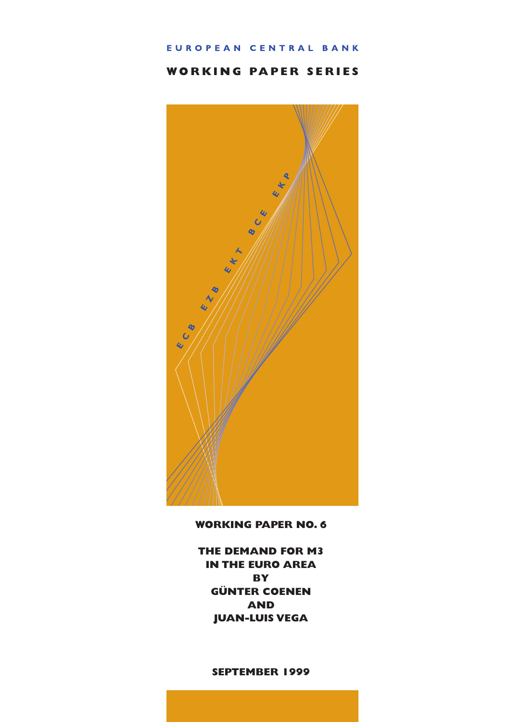# EUROPEAN CENTRAL BANK

# **WORKING PAPER SERIES**



**WORKING PAPER NO. 6**

**THE DEMAND FOR M3 IN THE EURO AREA BY GÜNTER COENEN AND JUAN-LUIS VEGA**

# **SEPTEMBER 1999**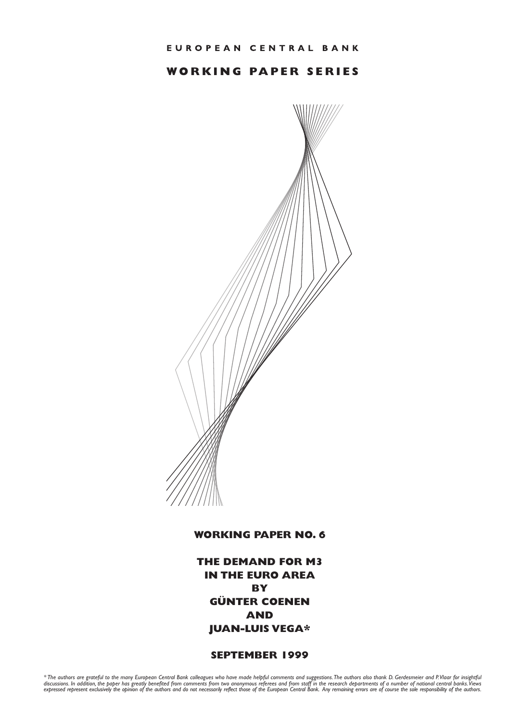# **WORKING PAPER SERIES**



# **WORKING PAPER NO. 6**

**THE DEMAND FOR M3 IN THE EURO AREA BY GÜNTER COENEN AND JUAN-LUIS VEGA\***

# **SEPTEMBER 1999**

\* The authors are grateful to the many European Central Bank colleagues who have made helpful comments and suggestions.The authors also thank D. Gerdesmeier and P.Vlaar for insightful<br>discussions. In addition, the paper ha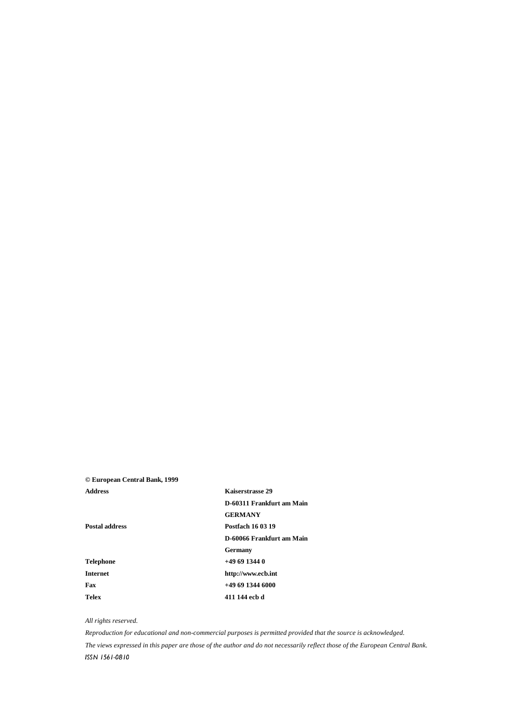# **© European Central Bank, 1999**

**Address Kaiserstrasse 29 D-60311 Frankfurt am Main GERMANY Postal address Postfach 16 03 19 D-60066 Frankfurt am Main Germany Telephone +49 69 1344 0 Internet http://www.ecb.int Fax +49 69 1344 6000 Telex 411 144 ecb d**

#### *All rights reserved.*

*Reproduction for educational and non-commercial purposes is permitted provided that the source is acknowledged. The views expressed in this paper are those of the author and do not necessarily reflect those of the European Central Bank.* ISSN 1561-0810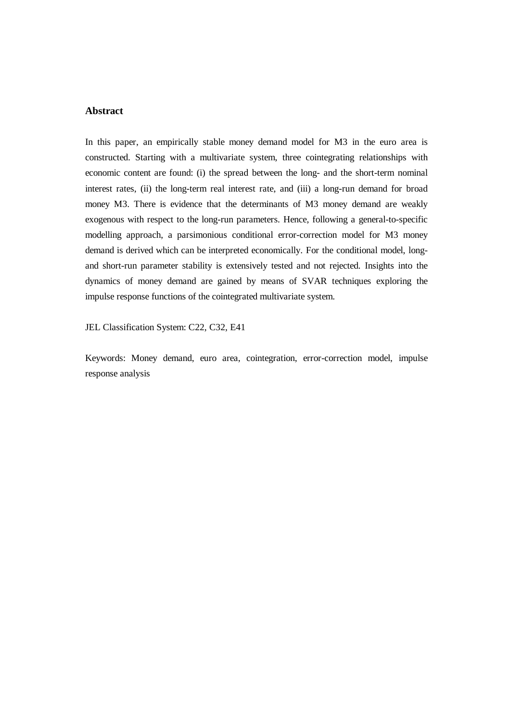# **Abstract**

In this paper, an empirically stable money demand model for M3 in the euro area is constructed. Starting with a multivariate system, three cointegrating relationships with economic content are found: (i) the spread between the long- and the short-term nominal interest rates, (ii) the long-term real interest rate, and (iii) a long-run demand for broad money M3. There is evidence that the determinants of M3 money demand are weakly exogenous with respect to the long-run parameters. Hence, following a general-to-specific modelling approach, a parsimonious conditional error-correction model for M3 money demand is derived which can be interpreted economically. For the conditional model, longand short-run parameter stability is extensively tested and not rejected. Insights into the dynamics of money demand are gained by means of SVAR techniques exploring the impulse response functions of the cointegrated multivariate system.

JEL Classification System: C22, C32, E41

Keywords: Money demand, euro area, cointegration, error-correction model, impulse response analysis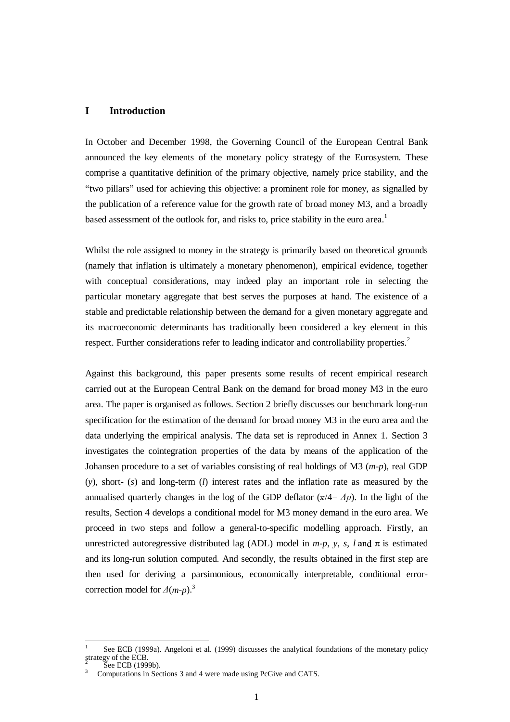# **I Introduction**

In October and December 1998, the Governing Council of the European Central Bank announced the key elements of the monetary policy strategy of the Eurosystem. These comprise a quantitative definition of the primary objective, namely price stability, and the "two pillars" used for achieving this objective: a prominent role for money, as signalled by the publication of a reference value for the growth rate of broad money M3, and a broadly based assessment of the outlook for, and risks to, price stability in the euro area.<sup>1</sup>

Whilst the role assigned to money in the strategy is primarily based on theoretical grounds (namely that inflation is ultimately a monetary phenomenon), empirical evidence, together with conceptual considerations, may indeed play an important role in selecting the particular monetary aggregate that best serves the purposes at hand. The existence of a stable and predictable relationship between the demand for a given monetary aggregate and its macroeconomic determinants has traditionally been considered a key element in this respect. Further considerations refer to leading indicator and controllability properties.<sup>2</sup>

Against this background, this paper presents some results of recent empirical research carried out at the European Central Bank on the demand for broad money M3 in the euro area. The paper is organised as follows. Section 2 briefly discusses our benchmark long-run specification for the estimation of the demand for broad money M3 in the euro area and the data underlying the empirical analysis. The data set is reproduced in Annex 1. Section 3 investigates the cointegration properties of the data by means of the application of the Johansen procedure to a set of variables consisting of real holdings of M3 (*m-p*), real GDP (*y*), short- (*s*) and long-term (*l*) interest rates and the inflation rate as measured by the annualised quarterly changes in the log of the GDP deflator  $(\pi/4= \Delta p)$ . In the light of the results, Section 4 develops a conditional model for M3 money demand in the euro area. We proceed in two steps and follow a general-to-specific modelling approach. Firstly, an unrestricted autoregressive distributed lag (ADL) model in  $m-p$ ,  $y$ ,  $s$ ,  $l$  and  $\pi$  is estimated and its long-run solution computed. And secondly, the results obtained in the first step are then used for deriving a parsimonious, economically interpretable, conditional errorcorrection model for  $\Delta(m-p)$ .<sup>3</sup>

 1 See ECB (1999a). Angeloni et al. (1999) discusses the analytical foundations of the monetary policy strategy of the ECB.<br> $\frac{1000}{2}$ 

See ECB (1999b).

<sup>3</sup> Computations in Sections 3 and 4 were made using PcGive and CATS.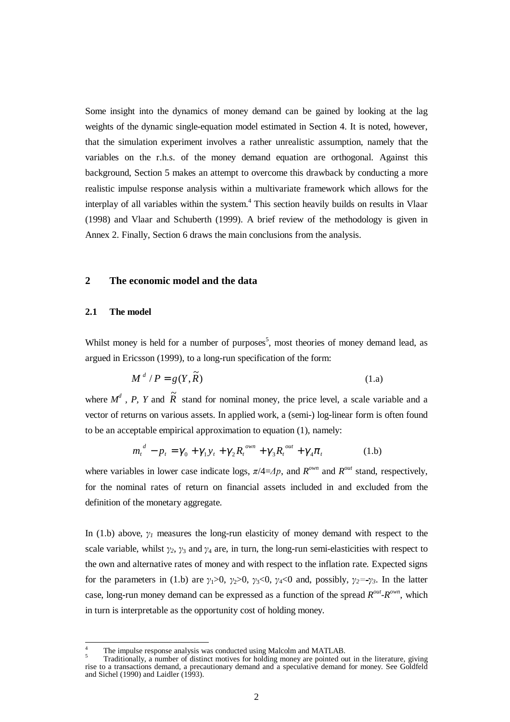Some insight into the dynamics of money demand can be gained by looking at the lag weights of the dynamic single-equation model estimated in Section 4. It is noted, however, that the simulation experiment involves a rather unrealistic assumption, namely that the variables on the r.h.s. of the money demand equation are orthogonal. Against this background, Section 5 makes an attempt to overcome this drawback by conducting a more realistic impulse response analysis within a multivariate framework which allows for the interplay of all variables within the system.<sup>4</sup> This section heavily builds on results in Vlaar (1998) and Vlaar and Schuberth (1999). A brief review of the methodology is given in Annex 2. Finally, Section 6 draws the main conclusions from the analysis.

# **2 The economic model and the data**

#### **2.1 The model**

 $\overline{a}$ 

Whilst money is held for a number of purposes<sup>5</sup>, most theories of money demand lead, as argued in Ericsson (1999), to a long-run specification of the form:

$$
M^d / P = g(Y, \widetilde{R}) \tag{1.a}
$$

where  $M^d$ , P, Y and  $\widetilde{R}$  stand for nominal money, the price level, a scale variable and a vector of returns on various assets. In applied work, a (semi-) log-linear form is often found to be an acceptable empirical approximation to equation (1), namely:

$$
m_t^d - p_t = \gamma_0 + \gamma_1 y_t + \gamma_2 R_t^{\text{own}} + \gamma_3 R_t^{\text{out}} + \gamma_4 \pi_t \tag{1.b}
$$

where variables in lower case indicate logs,  $\pi/4 = Ap$ , and  $R^{\text{own}}$  and  $R^{\text{out}}$  stand, respectively, for the nominal rates of return on financial assets included in and excluded from the definition of the monetary aggregate.

In (1.b) above,  $\gamma_l$  measures the long-run elasticity of money demand with respect to the scale variable, whilst  $\gamma_2$ ,  $\gamma_3$  and  $\gamma_4$  are, in turn, the long-run semi-elasticities with respect to the own and alternative rates of money and with respect to the inflation rate. Expected signs for the parameters in (1.b) are  $\gamma_1>0$ ,  $\gamma_2>0$ ,  $\gamma_3<0$ ,  $\gamma_4<0$  and, possibly,  $\gamma_2=-\gamma_3$ . In the latter case, long-run money demand can be expressed as a function of the spread  $R^{out}$ - $R^{own}$ , which in turn is interpretable as the opportunity cost of holding money*.*

The impulse response analysis was conducted using Malcolm and MATLAB.<br>Traditionally, a number of distinct motives for holding money are pointed out in the literature, giving rise to a transactions demand, a precautionary demand and a speculative demand for money. See Goldfeld and Sichel (1990) and Laidler  $(1993)$ .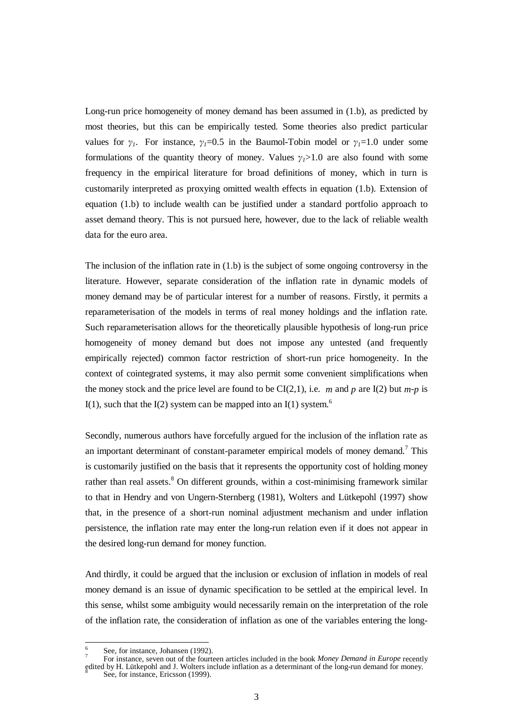Long-run price homogeneity of money demand has been assumed in (1.b), as predicted by most theories, but this can be empirically tested. Some theories also predict particular values for  $\gamma_1$ . For instance,  $\gamma_1=0.5$  in the Baumol-Tobin model or  $\gamma_1=1.0$  under some formulations of the quantity theory of money. Values  $\gamma_1 > 1.0$  are also found with some frequency in the empirical literature for broad definitions of money, which in turn is customarily interpreted as proxying omitted wealth effects in equation (1.b). Extension of equation (1.b) to include wealth can be justified under a standard portfolio approach to asset demand theory. This is not pursued here, however, due to the lack of reliable wealth data for the euro area.

The inclusion of the inflation rate in (1.b) is the subject of some ongoing controversy in the literature. However, separate consideration of the inflation rate in dynamic models of money demand may be of particular interest for a number of reasons. Firstly, it permits a reparameterisation of the models in terms of real money holdings and the inflation rate. Such reparameterisation allows for the theoretically plausible hypothesis of long-run price homogeneity of money demand but does not impose any untested (and frequently empirically rejected) common factor restriction of short-run price homogeneity. In the context of cointegrated systems, it may also permit some convenient simplifications when the money stock and the price level are found to be  $CI(2,1)$ , i.e. *m* and *p* are I(2) but *m-p* is I(1), such that the I(2) system can be mapped into an I(1) system.<sup>6</sup>

Secondly, numerous authors have forcefully argued for the inclusion of the inflation rate as an important determinant of constant-parameter empirical models of money demand.<sup>7</sup> This is customarily justified on the basis that it represents the opportunity cost of holding money rather than real assets.<sup>8</sup> On different grounds, within a cost-minimising framework similar to that in Hendry and von Ungern-Sternberg (1981), Wolters and Lütkepohl (1997) show that, in the presence of a short-run nominal adjustment mechanism and under inflation persistence, the inflation rate may enter the long-run relation even if it does not appear in the desired long-run demand for money function.

And thirdly, it could be argued that the inclusion or exclusion of inflation in models of real money demand is an issue of dynamic specification to be settled at the empirical level. In this sense, whilst some ambiguity would necessarily remain on the interpretation of the role of the inflation rate, the consideration of inflation as one of the variables entering the long-

 $\overline{a}$ 

See, for instance, Johansen (1992).<br>For instance, seven out of the fourteen articles included in the book *Money Demand in Europe* recently edited by H. Lütkepohl and J. Wolters include inflation as a determinant of the long-run demand for money.<br><sup>8</sup> See, for instance, Ericsson (1999).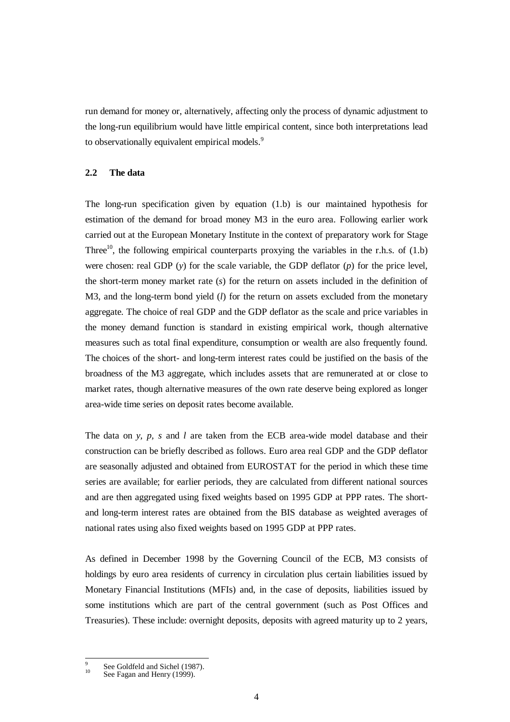run demand for money or, alternatively, affecting only the process of dynamic adjustment to the long-run equilibrium would have little empirical content, since both interpretations lead to observationally equivalent empirical models.<sup>9</sup>

#### **2.2 The data**

The long-run specification given by equation (1.b) is our maintained hypothesis for estimation of the demand for broad money M3 in the euro area. Following earlier work carried out at the European Monetary Institute in the context of preparatory work for Stage Three<sup>10</sup>, the following empirical counterparts proxying the variables in the r.h.s. of  $(1.b)$ were chosen: real GDP (*y*) for the scale variable, the GDP deflator (*p*) for the price level, the short-term money market rate (*s*) for the return on assets included in the definition of M3, and the long-term bond yield (*l*) for the return on assets excluded from the monetary aggregate. The choice of real GDP and the GDP deflator as the scale and price variables in the money demand function is standard in existing empirical work, though alternative measures such as total final expenditure, consumption or wealth are also frequently found. The choices of the short- and long-term interest rates could be justified on the basis of the broadness of the M3 aggregate, which includes assets that are remunerated at or close to market rates, though alternative measures of the own rate deserve being explored as longer area-wide time series on deposit rates become available.

The data on *y, p, s* and *l* are taken from the ECB area-wide model database and their construction can be briefly described as follows. Euro area real GDP and the GDP deflator are seasonally adjusted and obtained from EUROSTAT for the period in which these time series are available; for earlier periods, they are calculated from different national sources and are then aggregated using fixed weights based on 1995 GDP at PPP rates. The shortand long-term interest rates are obtained from the BIS database as weighted averages of national rates using also fixed weights based on 1995 GDP at PPP rates.

As defined in December 1998 by the Governing Council of the ECB, M3 consists of holdings by euro area residents of currency in circulation plus certain liabilities issued by Monetary Financial Institutions (MFIs) and, in the case of deposits, liabilities issued by some institutions which are part of the central government (such as Post Offices and Treasuries). These include: overnight deposits, deposits with agreed maturity up to 2 years,

 $\mathbf{q}$ See Goldfeld and Sichel (1987).<br>See Fagan and Henry (1999).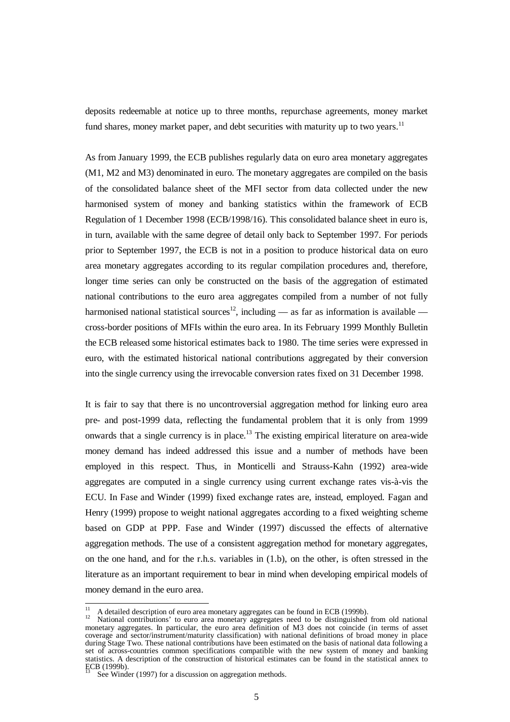deposits redeemable at notice up to three months, repurchase agreements, money market fund shares, money market paper, and debt securities with maturity up to two years.<sup>11</sup>

As from January 1999, the ECB publishes regularly data on euro area monetary aggregates (M1, M2 and M3) denominated in euro. The monetary aggregates are compiled on the basis of the consolidated balance sheet of the MFI sector from data collected under the new harmonised system of money and banking statistics within the framework of ECB Regulation of 1 December 1998 (ECB/1998/16). This consolidated balance sheet in euro is, in turn, available with the same degree of detail only back to September 1997. For periods prior to September 1997, the ECB is not in a position to produce historical data on euro area monetary aggregates according to its regular compilation procedures and, therefore, longer time series can only be constructed on the basis of the aggregation of estimated national contributions to the euro area aggregates compiled from a number of not fully harmonised national statistical sources<sup>12</sup>, including — as far as information is available cross-border positions of MFIs within the euro area. In its February 1999 Monthly Bulletin the ECB released some historical estimates back to 1980. The time series were expressed in euro, with the estimated historical national contributions aggregated by their conversion into the single currency using the irrevocable conversion rates fixed on 31 December 1998.

It is fair to say that there is no uncontroversial aggregation method for linking euro area pre- and post-1999 data, reflecting the fundamental problem that it is only from 1999 onwards that a single currency is in place.<sup>13</sup> The existing empirical literature on area-wide money demand has indeed addressed this issue and a number of methods have been employed in this respect. Thus, in Monticelli and Strauss-Kahn (1992) area-wide aggregates are computed in a single currency using current exchange rates vis-à-vis the ECU. In Fase and Winder (1999) fixed exchange rates are, instead, employed. Fagan and Henry (1999) propose to weight national aggregates according to a fixed weighting scheme based on GDP at PPP. Fase and Winder (1997) discussed the effects of alternative aggregation methods. The use of a consistent aggregation method for monetary aggregates, on the one hand, and for the r.h.s. variables in (1.b), on the other, is often stressed in the literature as an important requirement to bear in mind when developing empirical models of money demand in the euro area.

<sup>&</sup>lt;sup>11</sup> A detailed description of euro area monetary aggregates can be found in ECB (1999b).<br><sup>12</sup> National contributions' to euro area monetary aggregates need to be distinguished from old national monetary aggregates. In particular, the euro area definition of M3 does not coincide (in terms of asset coverage and sector/instrument/maturity classification) with national definitions of broad money in place during Stage Two. These national contributions have been estimated on the basis of national data following a set of across-countries common specifications compatible with the new system of money and banking statistics. A description of the construction of historical estimates can be found in the statistical annex to ECB (1999b).

See Winder (1997) for a discussion on aggregation methods.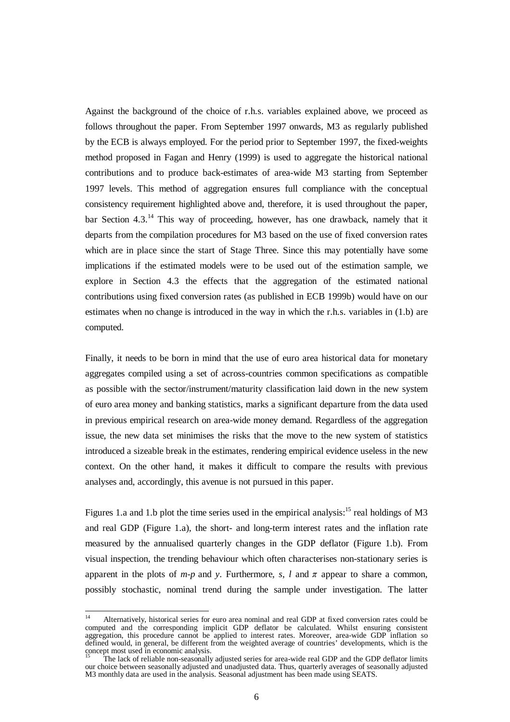Against the background of the choice of r.h.s. variables explained above, we proceed as follows throughout the paper. From September 1997 onwards, M3 as regularly published by the ECB is always employed. For the period prior to September 1997, the fixed-weights method proposed in Fagan and Henry (1999) is used to aggregate the historical national contributions and to produce back-estimates of area-wide M3 starting from September 1997 levels. This method of aggregation ensures full compliance with the conceptual consistency requirement highlighted above and, therefore, it is used throughout the paper, bar Section 4.3.<sup>14</sup> This way of proceeding, however, has one drawback, namely that it departs from the compilation procedures for M3 based on the use of fixed conversion rates which are in place since the start of Stage Three. Since this may potentially have some implications if the estimated models were to be used out of the estimation sample, we explore in Section 4.3 the effects that the aggregation of the estimated national contributions using fixed conversion rates (as published in ECB 1999b) would have on our estimates when no change is introduced in the way in which the r.h.s. variables in (1.b) are computed.

Finally, it needs to be born in mind that the use of euro area historical data for monetary aggregates compiled using a set of across-countries common specifications as compatible as possible with the sector/instrument/maturity classification laid down in the new system of euro area money and banking statistics, marks a significant departure from the data used in previous empirical research on area-wide money demand. Regardless of the aggregation issue, the new data set minimises the risks that the move to the new system of statistics introduced a sizeable break in the estimates, rendering empirical evidence useless in the new context. On the other hand, it makes it difficult to compare the results with previous analyses and, accordingly, this avenue is not pursued in this paper.

Figures 1.a and 1.b plot the time series used in the empirical analysis:<sup>15</sup> real holdings of M3 and real GDP (Figure 1.a), the short- and long-term interest rates and the inflation rate measured by the annualised quarterly changes in the GDP deflator (Figure 1.b). From visual inspection, the trending behaviour which often characterises non-stationary series is apparent in the plots of  $m-p$  and  $\gamma$ . Furthermore,  $\gamma$ ,  $l$  and  $\pi$  appear to share a common, possibly stochastic, nominal trend during the sample under investigation. The latter

 $\overline{14}$ <sup>14</sup> Alternatively, historical series for euro area nominal and real GDP at fixed conversion rates could be computed and the corresponding implicit GDP deflator be calculated. Whilst ensuring consistent aggregation, this procedure cannot be applied to interest rates. Moreover, area-wide GDP inflation so defined would, in general, be different from the weighted average of countries' developments, which is the

concept most used in economic analysis. <sup>15</sup> The lack of reliable non-seasonally adjusted series for area-wide real GDP and the GDP deflator limits our choice between seasonally adjusted and unadjusted data. Thus, quarterly averages of seasonally adjusted M3 monthly data are used in the analysis. Seasonal adjustment has been made using SEATS.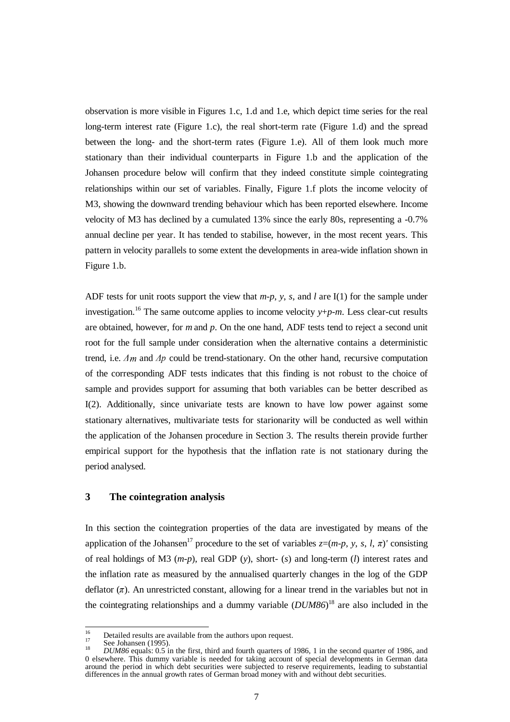observation is more visible in Figures 1.c, 1.d and 1.e, which depict time series for the real long-term interest rate (Figure 1.c), the real short-term rate (Figure 1.d) and the spread between the long- and the short-term rates (Figure 1.e). All of them look much more stationary than their individual counterparts in Figure 1.b and the application of the Johansen procedure below will confirm that they indeed constitute simple cointegrating relationships within our set of variables. Finally, Figure 1.f plots the income velocity of M3, showing the downward trending behaviour which has been reported elsewhere. Income velocity of M3 has declined by a cumulated 13% since the early 80s, representing a -0.7% annual decline per year. It has tended to stabilise, however, in the most recent years. This pattern in velocity parallels to some extent the developments in area-wide inflation shown in Figure 1.b.

ADF tests for unit roots support the view that *m-p*, *y*, *s*, and *l* are I(1) for the sample under investigation.<sup>16</sup> The same outcome applies to income velocity  $y+p-m$ . Less clear-cut results are obtained, however, for *m* and *p*. On the one hand, ADF tests tend to reject a second unit root for the full sample under consideration when the alternative contains a deterministic trend, i.e.  $\Delta m$  and  $\Delta p$  could be trend-stationary. On the other hand, recursive computation of the corresponding ADF tests indicates that this finding is not robust to the choice of sample and provides support for assuming that both variables can be better described as I(2). Additionally, since univariate tests are known to have low power against some stationary alternatives, multivariate tests for starionarity will be conducted as well within the application of the Johansen procedure in Section 3. The results therein provide further empirical support for the hypothesis that the inflation rate is not stationary during the period analysed.

# **3 The cointegration analysis**

In this section the cointegration properties of the data are investigated by means of the application of the Johansen<sup>17</sup> procedure to the set of variables  $z=(m-p, y, s, l, \pi)'$  consisting of real holdings of M3 (*m-p*), real GDP (*y*), short- (*s*) and long-term (*l*) interest rates and the inflation rate as measured by the annualised quarterly changes in the log of the GDP deflator  $(\pi)$ . An unrestricted constant, allowing for a linear trend in the variables but not in the cointegrating relationships and a dummy variable (*DUM86*) 18 are also included in the

 $16$ 

<sup>&</sup>lt;sup>16</sup> Detailed results are available from the authors upon request.<br><sup>17</sup> See Johansen (1995).<br><sup>18</sup> *DUM86* equals: 0.5 in the first, third and fourth quarters of 1986, 1 in the second quarter of 1986, and 0 elsewhere. This dummy variable is needed for taking account of special developments in German data around the period in which debt securities were subjected to reserve requirements, leading to substantial differences in the annual growth rates of German broad money with and without debt securities.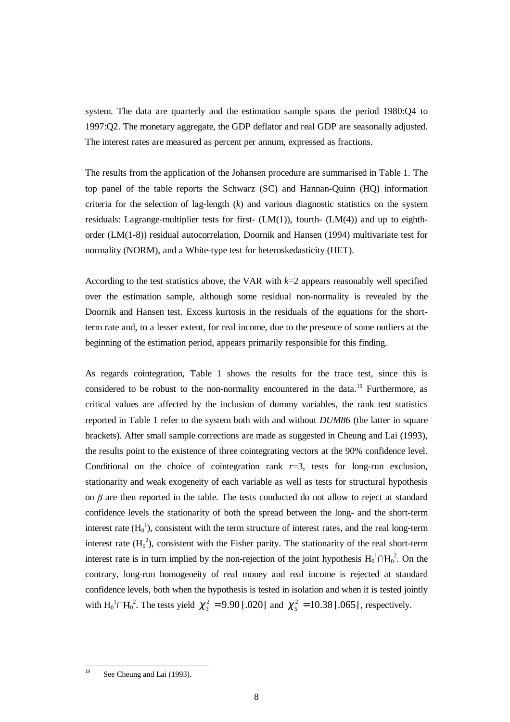system. The data are quarterly and the estimation sample spans the period 1980:Q4 to 1997:Q2. The monetary aggregate, the GDP deflator and real GDP are seasonally adjusted. The interest rates are measured as percent per annum, expressed as fractions.

The results from the application of the Johansen procedure are summarised in Table 1. The top panel of the table reports the Schwarz (SC) and Hannan-Quinn (HQ) information criteria for the selection of lag-length (*k*) and various diagnostic statistics on the system residuals: Lagrange-multiplier tests for first-  $(LM(1))$ , fourth-  $(LM(4))$  and up to eighthorder (LM(1-8)) residual autocorrelation, Doornik and Hansen (1994) multivariate test for normality (NORM), and a White-type test for heteroskedasticity (HET).

According to the test statistics above, the VAR with *k*=2 appears reasonably well specified over the estimation sample, although some residual non-normality is revealed by the Doornik and Hansen test. Excess kurtosis in the residuals of the equations for the shortterm rate and, to a lesser extent, for real income, due to the presence of some outliers at the beginning of the estimation period, appears primarily responsible for this finding.

As regards cointegration, Table 1 shows the results for the trace test, since this is considered to be robust to the non-normality encountered in the data.<sup>19</sup> Furthermore, as critical values are affected by the inclusion of dummy variables, the rank test statistics reported in Table 1 refer to the system both with and without *DUM86* (the latter in square brackets). After small sample corrections are made as suggested in Cheung and Lai (1993), the results point to the existence of three cointegrating vectors at the 90% confidence level. Conditional on the choice of cointegration rank  $r=3$ , tests for long-run exclusion, stationarity and weak exogeneity of each variable as well as tests for structural hypothesis on  $\beta$  are then reported in the table. The tests conducted do not allow to reject at standard confidence levels the stationarity of both the spread between the long- and the short-term interest rate  $(H_0^{-1})$ , consistent with the term structure of interest rates, and the real long-term interest rate  $(H_0^2)$ , consistent with the Fisher parity. The stationarity of the real short-term interest rate is in turn implied by the non-rejection of the joint hypothesis  $H_0^{-1} \cap H_0^{-2}$ . On the contrary, long-run homogeneity of real money and real income is rejected at standard confidence levels, both when the hypothesis is tested in isolation and when it is tested jointly with  $H_0^1 \cap H_0^2$ . The tests yield  $\chi_3^2 = 9.90$  [.020] and  $\chi_5^2 = 10.38$  [.065], respectively.

 $\overline{1}$ 

See Cheung and Lai (1993).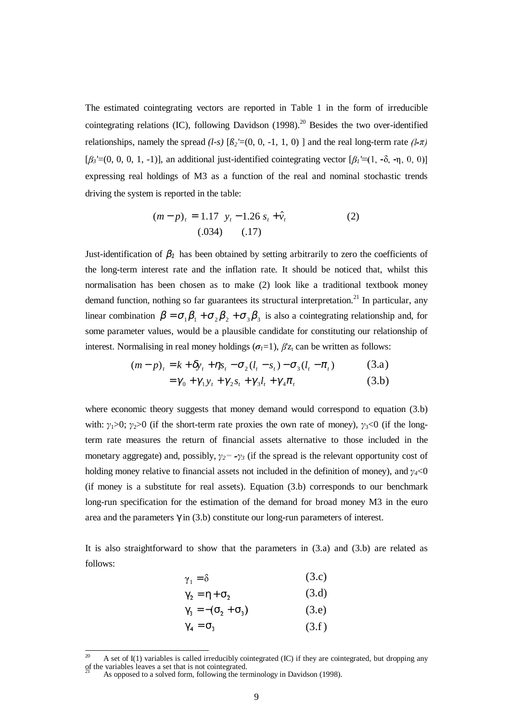The estimated cointegrating vectors are reported in Table 1 in the form of irreducible cointegrating relations (IC), following Davidson  $(1998)$ <sup>20</sup> Besides the two over-identified relationships, namely the spread  $(l-s)$   $[\beta_2'=(0, 0, -1, 1, 0)]$  and the real long-term rate  $(l-\pi)$  $[\beta_3'=(0, 0, 0, 1, -1)]$ , an additional just-identified cointegrating vector  $[\beta_1'=(1, -\delta, -\eta, 0, 0)]$ expressing real holdings of M3 as a function of the real and nominal stochastic trends driving the system is reported in the table:

$$
(m-p)_t = 1.17 \ y_t - 1.26 \ s_t + \hat{v}_t
$$
  
(.034) (.17)

Just-identification of  $\beta_1$  has been obtained by setting arbitrarily to zero the coefficients of the long-term interest rate and the inflation rate. It should be noticed that, whilst this normalisation has been chosen as to make (2) look like a traditional textbook money demand function, nothing so far guarantees its structural interpretation.<sup>21</sup> In particular, any linear combination  $\beta = \sigma_1 \beta_1 + \sigma_2 \beta_2 + \sigma_3 \beta_3$  is also a cointegrating relationship and, for some parameter values, would be a plausible candidate for constituting our relationship of interest. Normalising in real money holdings ( $\sigma_l$ =1),  $\beta' z_t$  can be written as follows:

$$
(m-p)_t = k + \delta y_t + \eta s_t - \sigma_2 (l_t - s_t) - \sigma_3 (l_t - \pi_t)
$$
(3.a)  
=  $\gamma_0 + \gamma_1 y_t + \gamma_2 s_t + \gamma_3 l_t + \gamma_4 \pi_t$  (3.b)

$$
= \gamma_0 + \gamma_1 y_t + \gamma_2 s_t + \gamma_3 l_t + \gamma_4 \pi_t \tag{3.b}
$$

where economic theory suggests that money demand would correspond to equation (3.b) with:  $y_1>0$ ;  $y_2>0$  (if the short-term rate proxies the own rate of money),  $y_3<0$  (if the longterm rate measures the return of financial assets alternative to those included in the monetary aggregate) and, possibly,  $\gamma_2 = -\gamma_3$  (if the spread is the relevant opportunity cost of holding money relative to financial assets not included in the definition of money), and  $\gamma_{4}$ <0 (if money is a substitute for real assets). Equation  $(3.b)$  corresponds to our benchmark long-run specification for the estimation of the demand for broad money M3 in the euro area and the parameters  $\gamma$  in (3.b) constitute our long-run parameters of interest.

It is also straightforward to show that the parameters in  $(3.a)$  and  $(3.b)$  are related as follows:

$$
\gamma_1 = \delta \tag{3.c}
$$

$$
\gamma_2 = \eta + \sigma_2 \tag{3. d}
$$

$$
\gamma_3 = -(\sigma_2 + \sigma_3) \tag{3.e}
$$

$$
\gamma_4 = \sigma_3 \tag{3.f}
$$

 $20$ <sup>20</sup> A set of I(1) variables is called irreducibly cointegrated (IC) if they are cointegrated, but dropping any of the variables leaves a set that is not cointegrated.

As opposed to a solved form, following the terminology in Davidson (1998).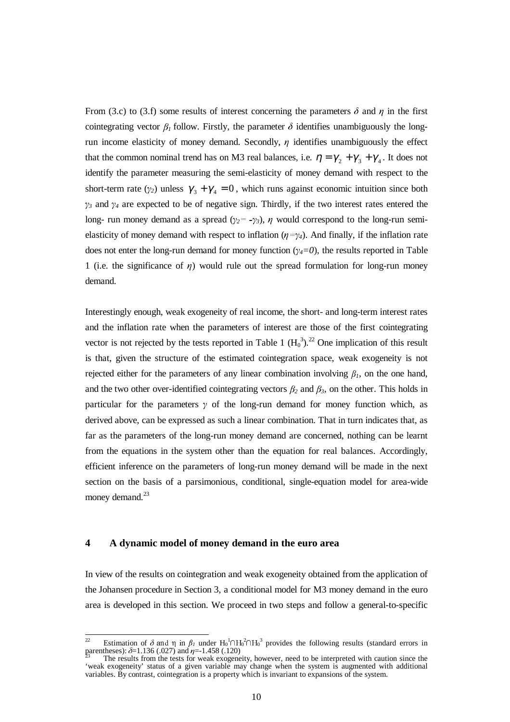From (3.c) to (3.f) some results of interest concerning the parameters  $\delta$  and  $\eta$  in the first cointegrating vector  $\beta_1$  follow. Firstly, the parameter  $\delta$  identifies unambiguously the longrun income elasticity of money demand. Secondly,  $\eta$  identifies unambiguously the effect that the common nominal trend has on M3 real balances, i.e.  $\eta = \gamma_2 + \gamma_3 + \gamma_4$ . It does not identify the parameter measuring the semi-elasticity of money demand with respect to the short-term rate ( $\gamma_2$ ) unless  $\gamma_3 + \gamma_4 = 0$ , which runs against economic intuition since both  $\gamma_3$  and  $\gamma_4$  are expected to be of negative sign. Thirdly, if the two interest rates entered the long- run money demand as a spread  $(\gamma_2 = -\gamma_3)$ ,  $\eta$  would correspond to the long-run semielasticity of money demand with respect to inflation ( $\eta = \gamma_4$ ). And finally, if the inflation rate does not enter the long-run demand for money function  $(\gamma_4=0)$ , the results reported in Table 1 (i.e. the significance of  $\eta$ ) would rule out the spread formulation for long-run money demand.

Interestingly enough, weak exogeneity of real income, the short- and long-term interest rates and the inflation rate when the parameters of interest are those of the first cointegrating vector is not rejected by the tests reported in Table 1  $(H_0^3)$ .<sup>22</sup> One implication of this result is that, given the structure of the estimated cointegration space, weak exogeneity is not rejected either for the parameters of any linear combination involving  $\beta_l$ , on the one hand, and the two other over-identified cointegrating vectors  $\beta_2$  and  $\beta_3$ , on the other. This holds in particular for the parameters  $\gamma$  of the long-run demand for money function which, as derived above, can be expressed as such a linear combination. That in turn indicates that, as far as the parameters of the long-run money demand are concerned, nothing can be learnt from the equations in the system other than the equation for real balances. Accordingly, efficient inference on the parameters of long-run money demand will be made in the next section on the basis of a parsimonious, conditional, single-equation model for area-wide money demand.<sup>23</sup>

# **4 A dynamic model of money demand in the euro area**

In view of the results on cointegration and weak exogeneity obtained from the application of the Johansen procedure in Section 3, a conditional model for M3 money demand in the euro area is developed in this section. We proceed in two steps and follow a general-to-specific

 $\overline{1}$ <sup>22</sup> Estimation of δ and η in  $β_1$  under H<sub>0</sub><sup>1</sup> $\cap$ H<sub>0</sub><sup>2</sup> $\cap$ H<sub>0</sub><sup>3</sup> provides the following results (standard errors in parentheses):  $δ=1.136$  (.027) and  $η=-1.458$  (.120)<br><sup>23</sup> The results from the tests for weak exog

<sup>&#</sup>x27;weak exogeneity' status of a given variable may change when the system is augmented with additional variables. By contrast, cointegration is a property which is invariant to expansions of the system.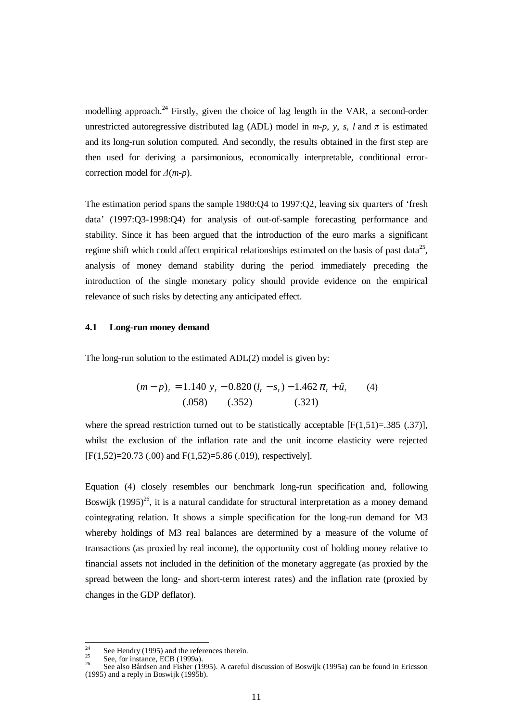modelling approach.<sup>24</sup> Firstly, given the choice of lag length in the VAR, a second-order unrestricted autoregressive distributed lag (ADL) model in  $m-p$ ,  $y$ ,  $s$ ,  $l$  and  $\pi$  is estimated and its long-run solution computed. And secondly, the results obtained in the first step are then used for deriving a parsimonious, economically interpretable, conditional errorcorrection model for  $\Delta(m-p)$ .

The estimation period spans the sample 1980:Q4 to 1997:Q2, leaving six quarters of 'fresh data' (1997:Q3-1998:Q4) for analysis of out-of-sample forecasting performance and stability. Since it has been argued that the introduction of the euro marks a significant regime shift which could affect empirical relationships estimated on the basis of past data<sup>25</sup>, analysis of money demand stability during the period immediately preceding the introduction of the single monetary policy should provide evidence on the empirical relevance of such risks by detecting any anticipated effect.

#### **4.1 Long-run money demand**

The long-run solution to the estimated ADL(2) model is given by:

$$
(m-p)_t = 1.140 y_t - 0.820 (l_t - s_t) - 1.462 \pi_t + \hat{u}_t
$$
 (4)  
(.058) (.352) (.321)

where the spread restriction turned out to be statistically acceptable  $[F(1,51)=385 \,(.37)]$ , whilst the exclusion of the inflation rate and the unit income elasticity were rejected  $[F(1,52)=20.73]$  (.00) and  $F(1,52)=5.86$  (.019), respectively].

Equation (4) closely resembles our benchmark long-run specification and, following Boswiik (1995)<sup>26</sup>, it is a natural candidate for structural interpretation as a money demand cointegrating relation. It shows a simple specification for the long-run demand for M3 whereby holdings of M3 real balances are determined by a measure of the volume of transactions (as proxied by real income), the opportunity cost of holding money relative to financial assets not included in the definition of the monetary aggregate (as proxied by the spread between the long- and short-term interest rates) and the inflation rate (proxied by changes in the GDP deflator).

 $\overline{24}$ 

<sup>&</sup>lt;sup>24</sup> See Hendry (1995) and the references therein.<br><sup>25</sup> See, for instance, ECB (1999a).<br><sup>26</sup> See also Bårdsen and Fisher (1995). A careful discussion of Boswijk (1995a) can be found in Ericsson (1995) and a reply in Boswijk (1995b).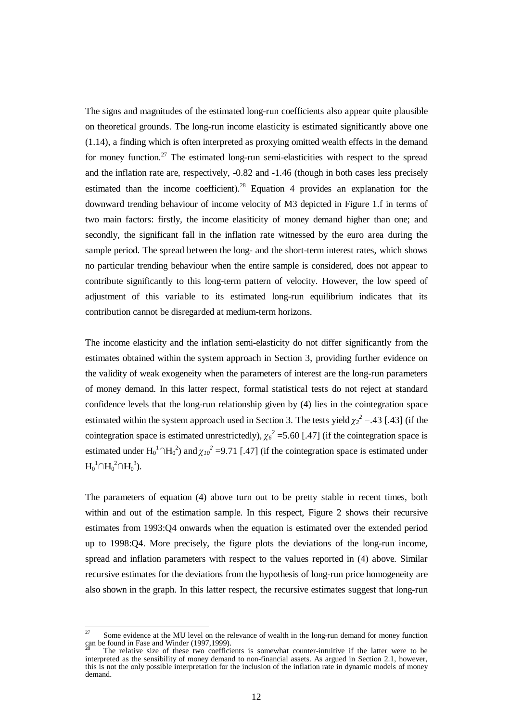The signs and magnitudes of the estimated long-run coefficients also appear quite plausible on theoretical grounds. The long-run income elasticity is estimated significantly above one (1.14), a finding which is often interpreted as proxying omitted wealth effects in the demand for money function.<sup>27</sup> The estimated long-run semi-elasticities with respect to the spread and the inflation rate are, respectively, -0.82 and -1.46 (though in both cases less precisely estimated than the income coefficient).<sup>28</sup> Equation 4 provides an explanation for the downward trending behaviour of income velocity of M3 depicted in Figure 1.f in terms of two main factors: firstly, the income elasiticity of money demand higher than one; and secondly, the significant fall in the inflation rate witnessed by the euro area during the sample period. The spread between the long- and the short-term interest rates, which shows no particular trending behaviour when the entire sample is considered, does not appear to contribute significantly to this long-term pattern of velocity. However, the low speed of adjustment of this variable to its estimated long-run equilibrium indicates that its contribution cannot be disregarded at medium-term horizons.

The income elasticity and the inflation semi-elasticity do not differ significantly from the estimates obtained within the system approach in Section 3, providing further evidence on the validity of weak exogeneity when the parameters of interest are the long-run parameters of money demand. In this latter respect, formal statistical tests do not reject at standard confidence levels that the long-run relationship given by (4) lies in the cointegration space estimated within the system approach used in Section 3. The tests yield  $\chi_2^2 = .43$  [.43] (if the cointegration space is estimated unrestrictedly),  $\chi_6^2$  =5.60 [.47] (if the cointegration space is estimated under  $H_0^1 \cap H_0^2$ ) and  $\chi_{10}^2 = 9.71$  [.47] (if the cointegration space is estimated under  $H_0^1 \cap H_0^2 \cap H_0^3$ ).

The parameters of equation (4) above turn out to be pretty stable in recent times, both within and out of the estimation sample. In this respect, Figure 2 shows their recursive estimates from 1993:Q4 onwards when the equation is estimated over the extended period up to 1998:Q4. More precisely, the figure plots the deviations of the long-run income, spread and inflation parameters with respect to the values reported in (4) above. Similar recursive estimates for the deviations from the hypothesis of long-run price homogeneity are also shown in the graph. In this latter respect, the recursive estimates suggest that long-run

 $27$ Some evidence at the MU level on the relevance of wealth in the long-run demand for money function can be found in Fase and Winder (1997,1999).

The relative size of these two coefficients is somewhat counter-intuitive if the latter were to be interpreted as the sensibility of money demand to non-financial assets. As argued in Section 2.1, however, this is not the only possible interpretation for the inclusion of the inflation rate in dynamic models of money demand.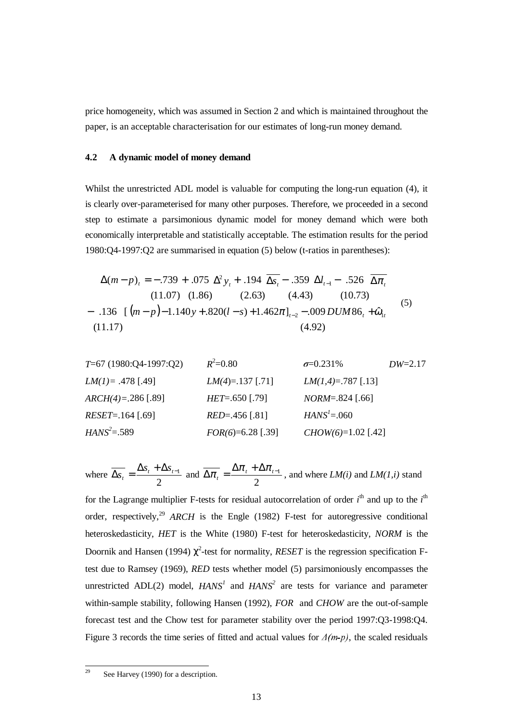price homogeneity, which was assumed in Section 2 and which is maintained throughout the paper, is an acceptable characterisation for our estimates of long-run money demand.

# **4.2 A dynamic model of money demand**

Whilst the unrestricted ADL model is valuable for computing the long-run equation (4), it is clearly over-parameterised for many other purposes. Therefore, we proceeded in a second step to estimate a parsimonious dynamic model for money demand which were both economically interpretable and statistically acceptable. The estimation results for the period 1980:Q4-1997:Q2 are summarised in equation (5) below (t-ratios in parentheses):

$$
\Delta(m-p)_t = -.739 + .075 \Delta^2 y_t + .194 \overline{\Delta s_t} - .359 \Delta l_{t-1} - .526 \overline{\Delta \pi_t}
$$
  
(11.07) (1.86) (2.63) (4.43) (10.73)  
- .136 [(*m-p*)-1.140*y* + .820(*l* - *s*) + 1.462 $\pi$ ]<sub>t-2</sub> - .009 *DUM86*<sub>t</sub> +  $\hat{\omega}_{1t}$   
(11.17) (4.92)

| $T=67$ (1980:Q4-1997:Q2) | $R^2=0.80$          | $\sigma=0.231\%$     | $DW=2.17$ |
|--------------------------|---------------------|----------------------|-----------|
| $LM(I) = .478$ [.49]     | $LM(4)=.137$ [.71]  | $LM(1,4)=.787$ [.13] |           |
| $ARCH(4)=.286$ [.89]     | $HET=.650$ [.79]    | $NORM=.824$ [.66]    |           |
| $RESET=.164$ [.69]       | $RED=.456$ [.81]    | $HANS^1=.060$        |           |
| $HANS^2=.589$            | $FOR(6)=6.28$ [.39] | $CHOW(6)=1.02$ [.42] |           |

where 
$$
\overline{\Delta s_i} = \frac{\Delta s_i + \Delta s_{i-1}}{2}
$$
 and  $\overline{\Delta \pi_i} = \frac{\Delta \pi_i + \Delta \pi_{i-1}}{2}$ , and where  $LM(i)$  and  $LM(1,i)$  stand

for the Lagrange multiplier F-tests for residual autocorrelation of order *i*<sup>th</sup> and up to the *i*<sup>th</sup> order, respectively,<sup>29</sup> *ARCH* is the Engle (1982) F-test for autoregressive conditional heteroskedasticity, *HET* is the White (1980) F-test for heteroskedasticity, *NORM* is the Doornik and Hansen (1994)  $\chi^2$ -test for normality, *RESET* is the regression specification Ftest due to Ramsey (1969), *RED* tests whether model (5) parsimoniously encompasses the unrestricted ADL(2) model, *HANS<sup>1</sup>* and *HANS<sup>2</sup>* are tests for variance and parameter within-sample stability, following Hansen (1992), *FOR* and *CHOW* are the out-of-sample forecast test and the Chow test for parameter stability over the period 1997:Q3-1998:Q4. Figure 3 records the time series of fitted and actual values for  $\Delta(m-p)$ , the scaled residuals

 $^{29}$ See Harvey (1990) for a description.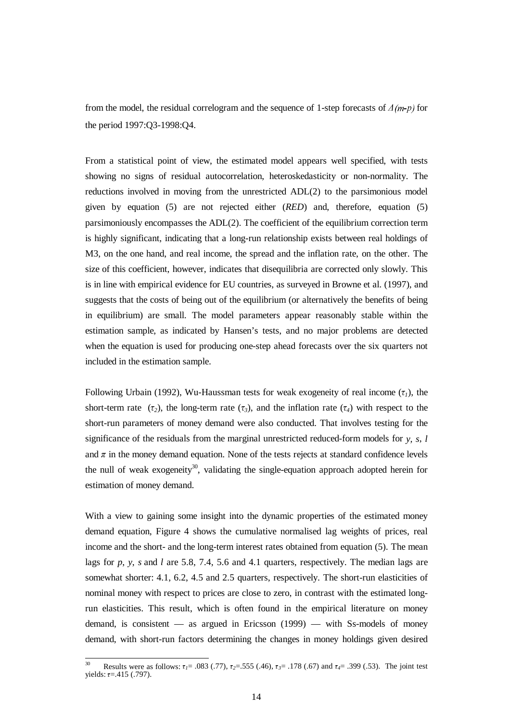from the model, the residual correlogram and the sequence of 1-step forecasts of  $\Delta(m-p)$  for the period 1997:Q3-1998:Q4.

From a statistical point of view, the estimated model appears well specified, with tests showing no signs of residual autocorrelation, heteroskedasticity or non-normality. The reductions involved in moving from the unrestricted ADL(2) to the parsimonious model given by equation (5) are not rejected either (*RED*) and, therefore, equation (5) parsimoniously encompasses the ADL(2). The coefficient of the equilibrium correction term is highly significant, indicating that a long-run relationship exists between real holdings of M3, on the one hand, and real income, the spread and the inflation rate, on the other. The size of this coefficient, however, indicates that disequilibria are corrected only slowly. This is in line with empirical evidence for EU countries, as surveyed in Browne et al. (1997), and suggests that the costs of being out of the equilibrium (or alternatively the benefits of being in equilibrium) are small. The model parameters appear reasonably stable within the estimation sample, as indicated by Hansen's tests, and no major problems are detected when the equation is used for producing one-step ahead forecasts over the six quarters not included in the estimation sample.

Following Urbain (1992), Wu-Haussman tests for weak exogeneity of real income  $(\tau_i)$ , the short-term rate  $(\tau_2)$ , the long-term rate  $(\tau_3)$ , and the inflation rate  $(\tau_4)$  with respect to the short-run parameters of money demand were also conducted. That involves testing for the significance of the residuals from the marginal unrestricted reduced-form models for *y, s*, *l* and  $\pi$  in the money demand equation. None of the tests rejects at standard confidence levels the null of weak exogeneity<sup>30</sup>, validating the single-equation approach adopted herein for estimation of money demand.

With a view to gaining some insight into the dynamic properties of the estimated money demand equation, Figure 4 shows the cumulative normalised lag weights of prices, real income and the short- and the long-term interest rates obtained from equation (5). The mean lags for *p*, *y*, *s* and *l* are 5.8, 7.4, 5.6 and 4.1 quarters, respectively. The median lags are somewhat shorter: 4.1, 6.2, 4.5 and 2.5 quarters, respectively. The short-run elasticities of nominal money with respect to prices are close to zero, in contrast with the estimated longrun elasticities. This result, which is often found in the empirical literature on money demand, is consistent — as argued in Ericsson (1999) — with Ss-models of money demand, with short-run factors determining the changes in money holdings given desired

 Results were as follows:  $\tau_1 = .083$  (.77),  $\tau_2 = .555$  (.46),  $\tau_3 = .178$  (.67) and  $\tau_4 = .399$  (.53). The joint test yields:  $\tau = .415$  (.797).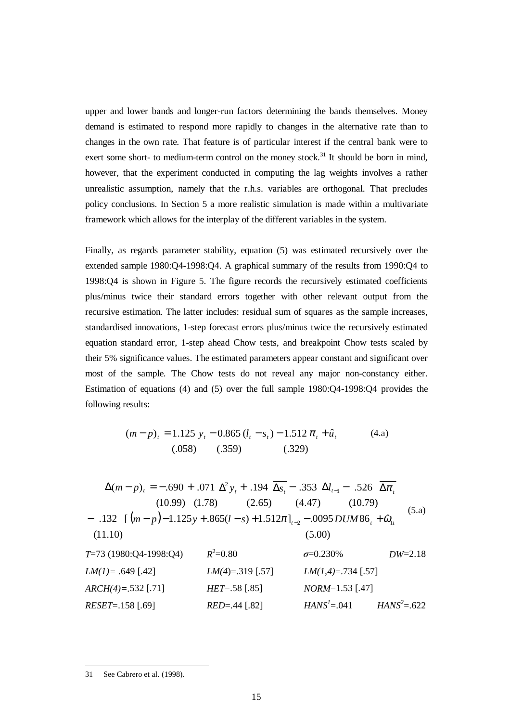upper and lower bands and longer-run factors determining the bands themselves. Money demand is estimated to respond more rapidly to changes in the alternative rate than to changes in the own rate. That feature is of particular interest if the central bank were to exert some short- to medium-term control on the money stock.<sup>31</sup> It should be born in mind, however, that the experiment conducted in computing the lag weights involves a rather unrealistic assumption, namely that the r.h.s. variables are orthogonal. That precludes policy conclusions. In Section 5 a more realistic simulation is made within a multivariate framework which allows for the interplay of the different variables in the system.

Finally, as regards parameter stability, equation (5) was estimated recursively over the extended sample 1980:Q4-1998:Q4. A graphical summary of the results from 1990:Q4 to 1998:Q4 is shown in Figure 5. The figure records the recursively estimated coefficients plus/minus twice their standard errors together with other relevant output from the recursive estimation. The latter includes: residual sum of squares as the sample increases, standardised innovations, 1-step forecast errors plus/minus twice the recursively estimated equation standard error, 1-step ahead Chow tests, and breakpoint Chow tests scaled by their 5% significance values. The estimated parameters appear constant and significant over most of the sample. The Chow tests do not reveal any major non-constancy either. Estimation of equations (4) and (5) over the full sample 1980:Q4-1998:Q4 provides the following results:

$$
(m-p)_t = 1.125 y_t - 0.865 (l_t - s_t) - 1.512 \pi_t + \hat{u}_t
$$
\n(4.a)  
\n(.058) (.359) (.329)

$$
\Delta(m-p)_t = -.690 + .071 \Delta^2 y_t + .194 \overline{\Delta s_t} - .353 \Delta l_{t-1} - .526 \overline{\Delta \pi_t}
$$
  
\n(10.99) (1.78) (2.65) (4.47) (10.79)  
\n- .132 [(m-p)-1.125y+.865(l-s)+1.512 $\pi$ ]<sub>t-2</sub> - .0095 *DUM*86<sub>t</sub> +  $\hat{\omega}_{1t}$   
\n(11.10) (5.00)  
\n*T*=73 (1980:Q4-1998:Q4)  $R^2=0.80$   $\sigma=0.230\%$  *DW*=2.18  
\n*LM*(1)= .649 [.42] *LM*(4)=.319 [.57] *LM*(1,4)=.734 [.57]  
\nARCH(4)=.532 [.71] *HET*=.58 [.85] *NORM*=1.53 [.47]  
\n*RESET*=.158 [.69] *RED*=.44 [.82] *HANS*<sup>t</sup>=.041 *HANS*<sup>2</sup>=.622

 $\overline{a}$ 31 See Cabrero et al. (1998).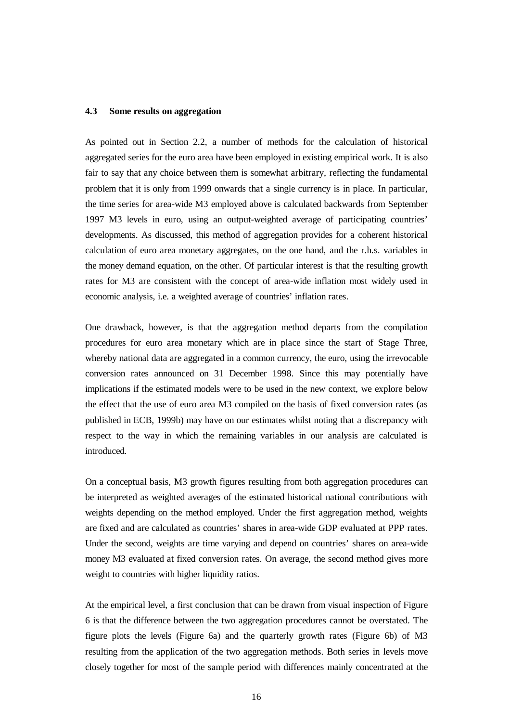#### **4.3 Some results on aggregation**

As pointed out in Section 2.2, a number of methods for the calculation of historical aggregated series for the euro area have been employed in existing empirical work. It is also fair to say that any choice between them is somewhat arbitrary, reflecting the fundamental problem that it is only from 1999 onwards that a single currency is in place. In particular, the time series for area-wide M3 employed above is calculated backwards from September 1997 M3 levels in euro, using an output-weighted average of participating countries' developments. As discussed, this method of aggregation provides for a coherent historical calculation of euro area monetary aggregates, on the one hand, and the r.h.s. variables in the money demand equation, on the other. Of particular interest is that the resulting growth rates for M3 are consistent with the concept of area-wide inflation most widely used in economic analysis, i.e. a weighted average of countries' inflation rates.

One drawback, however, is that the aggregation method departs from the compilation procedures for euro area monetary which are in place since the start of Stage Three, whereby national data are aggregated in a common currency, the euro, using the irrevocable conversion rates announced on 31 December 1998. Since this may potentially have implications if the estimated models were to be used in the new context, we explore below the effect that the use of euro area M3 compiled on the basis of fixed conversion rates (as published in ECB, 1999b) may have on our estimates whilst noting that a discrepancy with respect to the way in which the remaining variables in our analysis are calculated is introduced.

On a conceptual basis, M3 growth figures resulting from both aggregation procedures can be interpreted as weighted averages of the estimated historical national contributions with weights depending on the method employed. Under the first aggregation method, weights are fixed and are calculated as countries' shares in area-wide GDP evaluated at PPP rates. Under the second, weights are time varying and depend on countries' shares on area-wide money M3 evaluated at fixed conversion rates. On average, the second method gives more weight to countries with higher liquidity ratios.

At the empirical level, a first conclusion that can be drawn from visual inspection of Figure 6 is that the difference between the two aggregation procedures cannot be overstated. The figure plots the levels (Figure 6a) and the quarterly growth rates (Figure 6b) of M3 resulting from the application of the two aggregation methods. Both series in levels move closely together for most of the sample period with differences mainly concentrated at the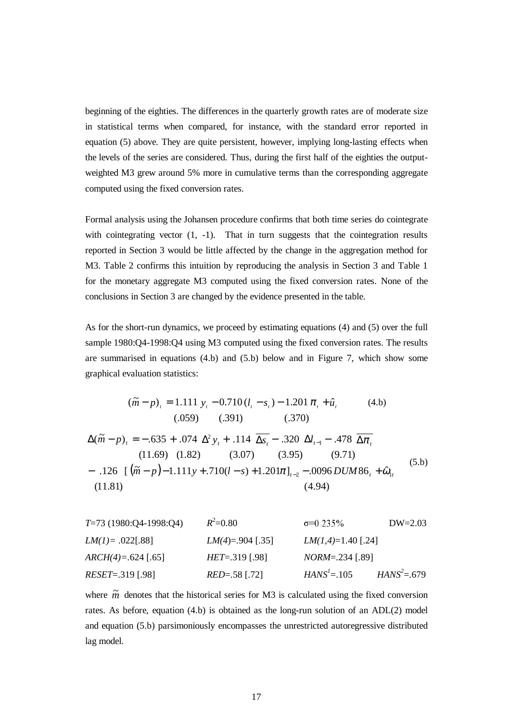beginning of the eighties. The differences in the quarterly growth rates are of moderate size in statistical terms when compared, for instance, with the standard error reported in equation (5) above. They are quite persistent, however, implying long-lasting effects when the levels of the series are considered. Thus, during the first half of the eighties the outputweighted M3 grew around 5% more in cumulative terms than the corresponding aggregate computed using the fixed conversion rates.

Formal analysis using the Johansen procedure confirms that both time series do cointegrate with cointegrating vector  $(1, -1)$ . That in turn suggests that the cointegration results reported in Section 3 would be little affected by the change in the aggregation method for M3. Table 2 confirms this intuition by reproducing the analysis in Section 3 and Table 1 for the monetary aggregate M3 computed using the fixed conversion rates. None of the conclusions in Section 3 are changed by the evidence presented in the table.

As for the short-run dynamics, we proceed by estimating equations (4) and (5) over the full sample 1980:Q4-1998:Q4 using M3 computed using the fixed conversion rates. The results are summarised in equations (4.b) and (5.b) below and in Figure 7, which show some graphical evaluation statistics:

$$
(\tilde{m} - p)_t = 1.111 y_t - 0.710 (l_t - s_t) - 1.201 \pi_t + \hat{u}_t
$$
(4.b)  
(.059) (.391) (.370)  

$$
\Delta(\tilde{m} - p)_t = -.635 + .074 \Delta^2 y_t + .114 \overline{\Delta s_t} - .320 \Delta l_{t-1} - .478 \overline{\Delta \pi_t}
$$
  
(11.69) (1.82) (3.07) (3.95) (9.71)  
- .126 [( $\tilde{m} - p$ ) - 1.111y + .710(l - s) + 1.201 $\pi$ ]<sub>t-2</sub> - .0096 *DUM86<sub>t</sub>* +  $\hat{\omega}_{1t}$   
(11.81) (4.94)

| $T=73$ (1980:Q4-1998:Q4) | $R^2=0.80$         | $\sigma=0.235\%$     | DW=2.03       |
|--------------------------|--------------------|----------------------|---------------|
| $LM(I) = .022[.88]$      | $LM(4)=.904 [.35]$ | $LM(1,4)=1.40 [.24]$ |               |
| $ARCH(4)=.624 [.65]$     | $HET=.319 [.98]$   | $NORM=.234 [.89]$    |               |
| $RESET=.319 [.98]$       | $RED=.58 [.72]$    | $HANS^1=.105$        | $HANS^2=.679$ |

where  $\tilde{m}$  denotes that the historical series for M3 is calculated using the fixed conversion rates. As before, equation (4.b) is obtained as the long-run solution of an ADL(2) model and equation (5.b) parsimoniously encompasses the unrestricted autoregressive distributed lag model.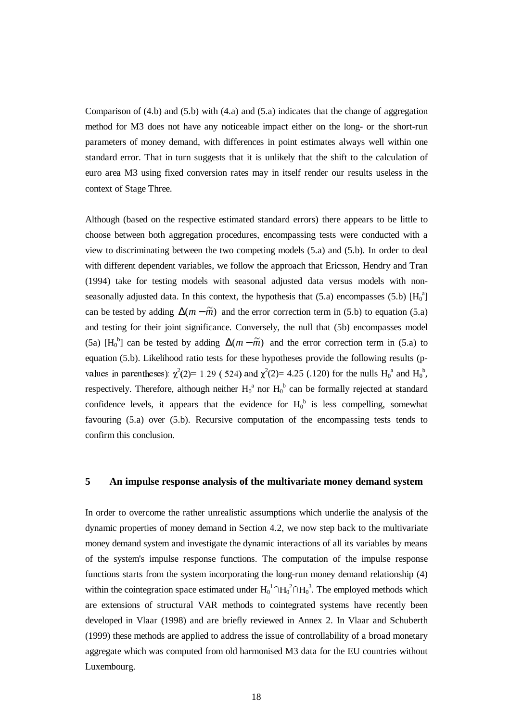Comparison of (4.b) and (5.b) with (4.a) and (5.a) indicates that the change of aggregation method for M3 does not have any noticeable impact either on the long- or the short-run parameters of money demand, with differences in point estimates always well within one standard error. That in turn suggests that it is unlikely that the shift to the calculation of euro area M3 using fixed conversion rates may in itself render our results useless in the context of Stage Three.

Although (based on the respective estimated standard errors) there appears to be little to choose between both aggregation procedures, encompassing tests were conducted with a view to discriminating between the two competing models (5.a) and (5.b). In order to deal with different dependent variables, we follow the approach that Ericsson, Hendry and Tran (1994) take for testing models with seasonal adjusted data versus models with nonseasonally adjusted data. In this context, the hypothesis that  $(5.a)$  encompasses  $(5.b)$   $[H<sub>0</sub><sup>a</sup>]$ can be tested by adding  $\Delta(m - \tilde{m})$  and the error correction term in (5.b) to equation (5.a) and testing for their joint significance. Conversely, the null that (5b) encompasses model (5a)  $[H_0^b]$  can be tested by adding  $\Delta(m - \tilde{m})$  and the error correction term in (5.a) to equation (5.b). Likelihood ratio tests for these hypotheses provide the following results (pvalues in parentheses):  $\chi^2(2)=1.29$  (.524) and  $\chi^2(2)=4.25$  (.120) for the nulls  $H_0^a$  and  $H_0^b$ , respectively. Therefore, although neither  $H_0^a$  nor  $H_0^b$  can be formally rejected at standard confidence levels, it appears that the evidence for  $H_0^b$  is less compelling, somewhat favouring (5.a) over (5.b). Recursive computation of the encompassing tests tends to confirm this conclusion.

#### **5 An impulse response analysis of the multivariate money demand system**

In order to overcome the rather unrealistic assumptions which underlie the analysis of the dynamic properties of money demand in Section 4.2, we now step back to the multivariate money demand system and investigate the dynamic interactions of all its variables by means of the system's impulse response functions. The computation of the impulse response functions starts from the system incorporating the long-run money demand relationship (4) within the cointegration space estimated under  $H_0^1 \cap H_0^2 \cap H_0^3$ . The employed methods which are extensions of structural VAR methods to cointegrated systems have recently been developed in Vlaar (1998) and are briefly reviewed in Annex 2. In Vlaar and Schuberth (1999) these methods are applied to address the issue of controllability of a broad monetary aggregate which was computed from old harmonised M3 data for the EU countries without Luxembourg.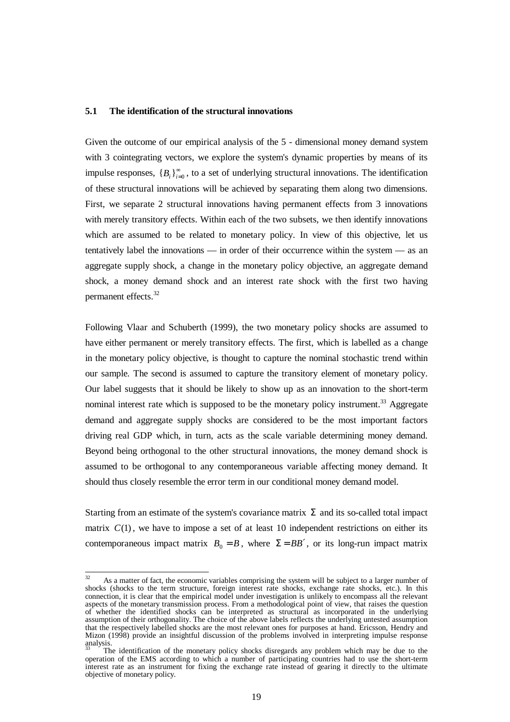#### **5.1 The identification of the structural innovations**

Given the outcome of our empirical analysis of the 5 - dimensional money demand system with 3 cointegrating vectors, we explore the system's dynamic properties by means of its impulse responses,  ${B_i}_{i=0}^{\infty}$ , to a set of underlying structural innovations. The identification of these structural innovations will be achieved by separating them along two dimensions. First, we separate 2 structural innovations having permanent effects from 3 innovations with merely transitory effects. Within each of the two subsets, we then identify innovations which are assumed to be related to monetary policy. In view of this objective, let us tentatively label the innovations — in order of their occurrence within the system — as an aggregate supply shock, a change in the monetary policy objective, an aggregate demand shock, a money demand shock and an interest rate shock with the first two having permanent effects.<sup>32</sup>

Following Vlaar and Schuberth (1999), the two monetary policy shocks are assumed to have either permanent or merely transitory effects. The first, which is labelled as a change in the monetary policy objective, is thought to capture the nominal stochastic trend within our sample. The second is assumed to capture the transitory element of monetary policy. Our label suggests that it should be likely to show up as an innovation to the short-term nominal interest rate which is supposed to be the monetary policy instrument.<sup>33</sup> Aggregate demand and aggregate supply shocks are considered to be the most important factors driving real GDP which, in turn, acts as the scale variable determining money demand. Beyond being orthogonal to the other structural innovations, the money demand shock is assumed to be orthogonal to any contemporaneous variable affecting money demand. It should thus closely resemble the error term in our conditional money demand model.

Starting from an estimate of the system's covariance matrix  $\Sigma$  and its so-called total impact matrix  $C(1)$ , we have to impose a set of at least 10 independent restrictions on either its contemporaneous impact matrix  $B_0 = B$ , where  $\Sigma = BB'$ , or its long-run impact matrix

 $\overline{a}$ 

As a matter of fact, the economic variables comprising the system will be subject to a larger number of shocks (shocks to the term structure, foreign interest rate shocks, exchange rate shocks, etc.). In this connection, it is clear that the empirical model under investigation is unlikely to encompass all the relevant aspects of the monetary transmission process. From a methodological point of view, that raises the question of whether the identified shocks can be interpreted as structural as incorporated in the underlying assumption of their orthogonality. The choice of the above labels reflects the underlying untested assumption that the respectively labelled shocks are the most relevant ones for purposes at hand. Ericsson, Hendry and Mizon (1998) provide an insightful discussion of the problems involved in interpreting impulse response analysis.

The identification of the monetary policy shocks disregards any problem which may be due to the operation of the EMS according to which a number of participating countries had to use the short-term interest rate as an instrument for fixing the exchange rate instead of gearing it directly to the ultimate objective of monetary policy.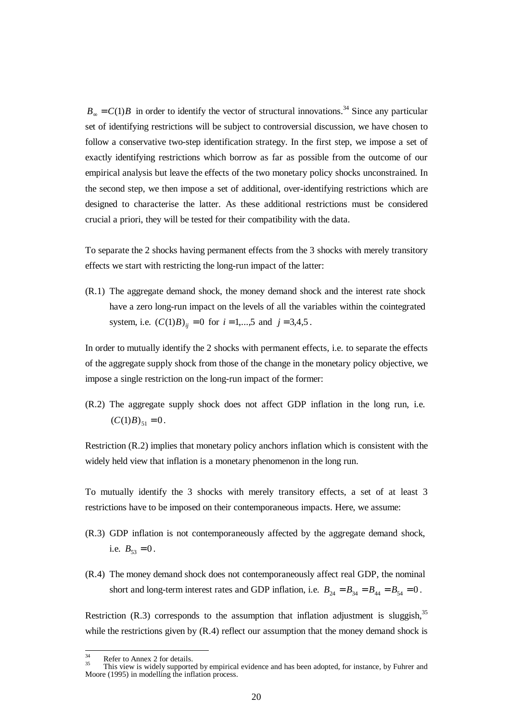$B_{\infty} = C(1)B$  in order to identify the vector of structural innovations.<sup>34</sup> Since any particular set of identifying restrictions will be subject to controversial discussion, we have chosen to follow a conservative two-step identification strategy. In the first step, we impose a set of exactly identifying restrictions which borrow as far as possible from the outcome of our empirical analysis but leave the effects of the two monetary policy shocks unconstrained. In the second step, we then impose a set of additional, over-identifying restrictions which are designed to characterise the latter. As these additional restrictions must be considered crucial a priori, they will be tested for their compatibility with the data.

To separate the 2 shocks having permanent effects from the 3 shocks with merely transitory effects we start with restricting the long-run impact of the latter:

(R.1) The aggregate demand shock, the money demand shock and the interest rate shock have a zero long-run impact on the levels of all the variables within the cointegrated system, i.e.  $(C(1)B)_{ii} = 0$  for  $i = 1,...,5$  and  $j = 3,4,5$ .

In order to mutually identify the 2 shocks with permanent effects, i.e. to separate the effects of the aggregate supply shock from those of the change in the monetary policy objective, we impose a single restriction on the long-run impact of the former:

(R.2) The aggregate supply shock does not affect GDP inflation in the long run, i.e.  $(C(1)B)_{51} = 0$ .

Restriction (R.2) implies that monetary policy anchors inflation which is consistent with the widely held view that inflation is a monetary phenomenon in the long run.

To mutually identify the 3 shocks with merely transitory effects, a set of at least 3 restrictions have to be imposed on their contemporaneous impacts. Here, we assume:

- (R.3) GDP inflation is not contemporaneously affected by the aggregate demand shock, i.e.  $B_{53} = 0$ .
- (R.4) The money demand shock does not contemporaneously affect real GDP, the nominal short and long-term interest rates and GDP inflation, i.e.  $B_{24} = B_{34} = B_{44} = B_{54} = 0$ .

Restriction (R.3) corresponds to the assumption that inflation adjustment is sluggish,  $35$ while the restrictions given by  $(R.4)$  reflect our assumption that the money demand shock is

 $34$ 

 $\frac{34}{35}$  Refer to Annex 2 for details.<br><sup>35</sup> This view is widely supported by empirical evidence and has been adopted, for instance, by Fuhrer and Moore (1995) in modelling the inflation process.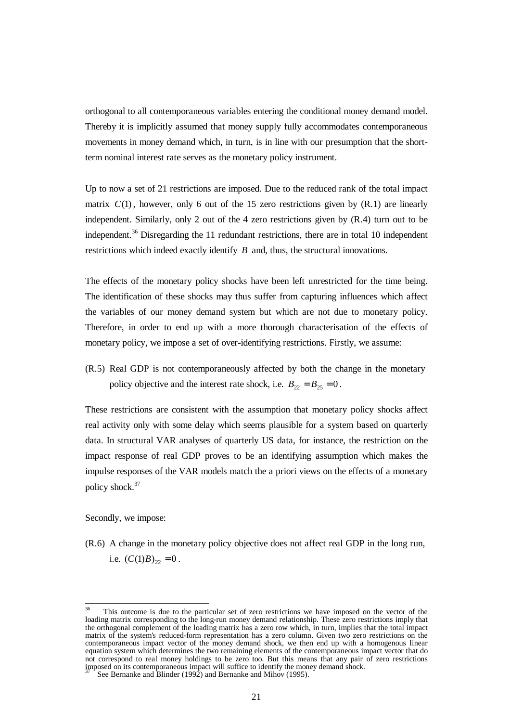orthogonal to all contemporaneous variables entering the conditional money demand model. Thereby it is implicitly assumed that money supply fully accommodates contemporaneous movements in money demand which, in turn, is in line with our presumption that the shortterm nominal interest rate serves as the monetary policy instrument.

Up to now a set of 21 restrictions are imposed. Due to the reduced rank of the total impact matrix  $C(1)$ , however, only 6 out of the 15 zero restrictions given by  $(R, 1)$  are linearly independent. Similarly, only 2 out of the 4 zero restrictions given by (R.4) turn out to be independent.<sup>36</sup> Disregarding the 11 redundant restrictions, there are in total 10 independent restrictions which indeed exactly identify *B* and, thus, the structural innovations.

The effects of the monetary policy shocks have been left unrestricted for the time being. The identification of these shocks may thus suffer from capturing influences which affect the variables of our money demand system but which are not due to monetary policy. Therefore, in order to end up with a more thorough characterisation of the effects of monetary policy, we impose a set of over-identifying restrictions. Firstly, we assume:

(R.5) Real GDP is not contemporaneously affected by both the change in the monetary policy objective and the interest rate shock, i.e.  $B_{22} = B_{25} = 0$ .

These restrictions are consistent with the assumption that monetary policy shocks affect real activity only with some delay which seems plausible for a system based on quarterly data. In structural VAR analyses of quarterly US data, for instance, the restriction on the impact response of real GDP proves to be an identifying assumption which makes the impulse responses of the VAR models match the a priori views on the effects of a monetary policy shock.<sup>37</sup>

Secondly, we impose:

(R.6) A change in the monetary policy objective does not affect real GDP in the long run, i.e.  $(C(1)B)_{22} = 0$ .

<sup>&</sup>lt;sup>36</sup> This outcome is due to the particular set of zero restrictions we have imposed on the vector of the loading matrix corresponding to the long-run money demand relationship. These zero restrictions imply that the orthogonal complement of the loading matrix has a zero row which, in turn, implies that the total impact matrix of the system's reduced-form representation has a zero column. Given two zero restrictions on the contemporaneous impact vector of the money demand shock, we then end up with a homogenous linear equation system which determines the two remaining elements of the contemporaneous impact vector that do not correspond to real money holdings to be zero too. But this means that any pair of zero restrictions imposed on its contemporaneous impact will suffice to identify the money demand shock.

See Bernanke and Blinder (1992) and Bernanke and Mihov (1995).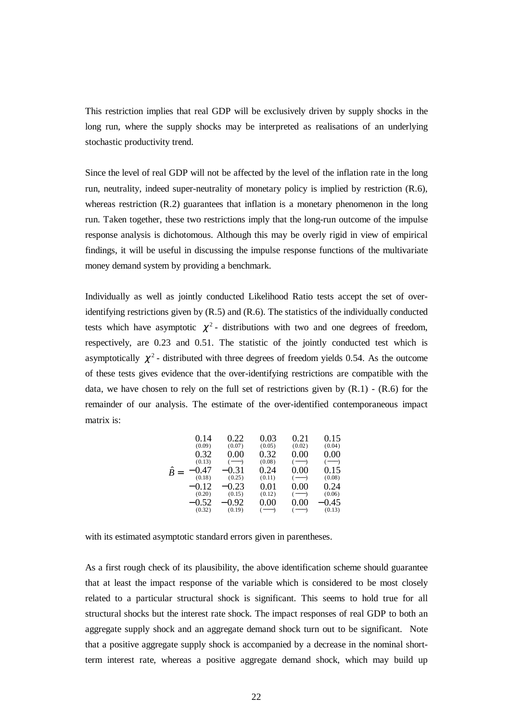This restriction implies that real GDP will be exclusively driven by supply shocks in the long run, where the supply shocks may be interpreted as realisations of an underlying stochastic productivity trend.

Since the level of real GDP will not be affected by the level of the inflation rate in the long run, neutrality, indeed super-neutrality of monetary policy is implied by restriction (R.6), whereas restriction (R.2) guarantees that inflation is a monetary phenomenon in the long run. Taken together, these two restrictions imply that the long-run outcome of the impulse response analysis is dichotomous. Although this may be overly rigid in view of empirical findings, it will be useful in discussing the impulse response functions of the multivariate money demand system by providing a benchmark.

Individually as well as jointly conducted Likelihood Ratio tests accept the set of overidentifying restrictions given by (R.5) and (R.6). The statistics of the individually conducted tests which have asymptotic  $\chi^2$ - distributions with two and one degrees of freedom, respectively, are 0.23 and 0.51. The statistic of the jointly conducted test which is asymptotically  $\chi^2$  - distributed with three degrees of freedom yields 0.54. As the outcome of these tests gives evidence that the over-identifying restrictions are compatible with the data, we have chosen to rely on the full set of restrictions given by  $(R.1)$  -  $(R.6)$  for the remainder of our analysis. The estimate of the over-identified contemporaneous impact matrix is:

|            | 0.14   | 0.22    | 0.03     | 0.21    | 0.15    |
|------------|--------|---------|----------|---------|---------|
|            | (0.09) | (0.07)  | (0.05)   | (0.02)  | (0.04)  |
|            | 0.32   | 0.00    | 0.32     | 0.00    | 0.00    |
|            | (0.13) | $(---)$ | (0.08)   | $(---)$ | $(---)$ |
| ᄉ<br>$B =$ | 0.47   | $-0.31$ | 0.24     | 0.00    | 0.15    |
|            | (0.18) | (0.25)  | (0.11)   | $(---)$ | (0.08)  |
|            | 0.12   | $-0.23$ | 0.01     | 0.00    | 0.24    |
|            | (0.20) | (0.15)  | (0.12)   | $(---)$ | (0.06)  |
|            | 0.52   | -0.92   | $0.00\,$ | 0.00    | 0.45    |
|            | (0.32) | (0.19)  | (----)   | $(---)$ | (0.13)  |

with its estimated asymptotic standard errors given in parentheses.

As a first rough check of its plausibility, the above identification scheme should guarantee that at least the impact response of the variable which is considered to be most closely related to a particular structural shock is significant. This seems to hold true for all structural shocks but the interest rate shock. The impact responses of real GDP to both an aggregate supply shock and an aggregate demand shock turn out to be significant. Note that a positive aggregate supply shock is accompanied by a decrease in the nominal shortterm interest rate, whereas a positive aggregate demand shock, which may build up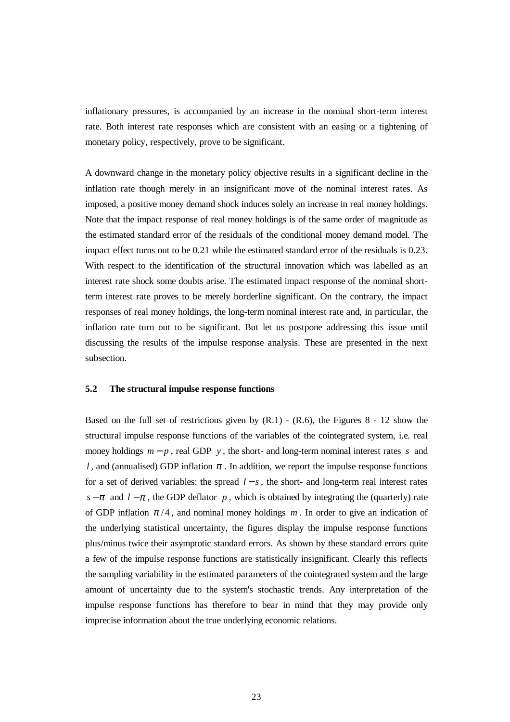inflationary pressures, is accompanied by an increase in the nominal short-term interest rate. Both interest rate responses which are consistent with an easing or a tightening of monetary policy, respectively, prove to be significant.

A downward change in the monetary policy objective results in a significant decline in the inflation rate though merely in an insignificant move of the nominal interest rates. As imposed, a positive money demand shock induces solely an increase in real money holdings. Note that the impact response of real money holdings is of the same order of magnitude as the estimated standard error of the residuals of the conditional money demand model. The impact effect turns out to be 0.21 while the estimated standard error of the residuals is 0.23. With respect to the identification of the structural innovation which was labelled as an interest rate shock some doubts arise. The estimated impact response of the nominal shortterm interest rate proves to be merely borderline significant. On the contrary, the impact responses of real money holdings, the long-term nominal interest rate and, in particular, the inflation rate turn out to be significant. But let us postpone addressing this issue until discussing the results of the impulse response analysis. These are presented in the next subsection.

# **5.2 The structural impulse response functions**

Based on the full set of restrictions given by  $(R.1)$  -  $(R.6)$ , the Figures 8 - 12 show the structural impulse response functions of the variables of the cointegrated system, i.e. real money holdings  $m - p$ , real GDP *y*, the short- and long-term nominal interest rates *s* and *l*, and (annualised) GDP inflation  $\pi$ . In addition, we report the impulse response functions for a set of derived variables: the spread *l* − *s* , the short- and long-term real interest rates *s* −  $\pi$  and *l* −  $\pi$ , the GDP deflator *p*, which is obtained by integrating the (quarterly) rate of GDP inflation  $\pi/4$ , and nominal money holdings *m*. In order to give an indication of the underlying statistical uncertainty, the figures display the impulse response functions plus/minus twice their asymptotic standard errors. As shown by these standard errors quite a few of the impulse response functions are statistically insignificant. Clearly this reflects the sampling variability in the estimated parameters of the cointegrated system and the large amount of uncertainty due to the system's stochastic trends. Any interpretation of the impulse response functions has therefore to bear in mind that they may provide only imprecise information about the true underlying economic relations.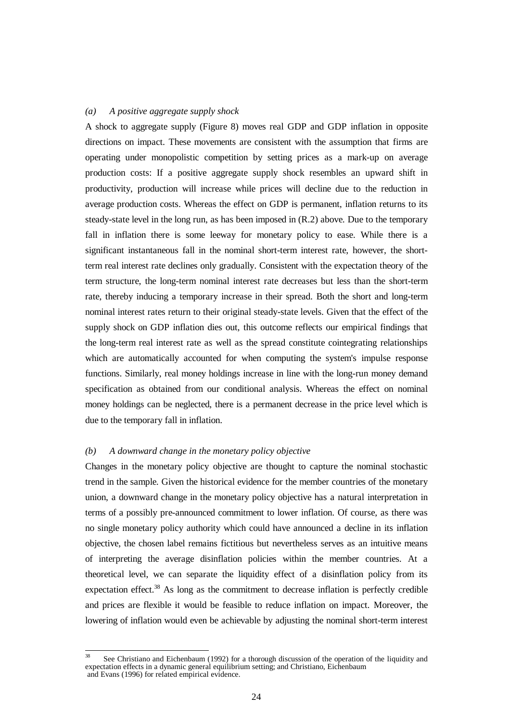# *(a) A positive aggregate supply shock*

A shock to aggregate supply (Figure 8) moves real GDP and GDP inflation in opposite directions on impact. These movements are consistent with the assumption that firms are operating under monopolistic competition by setting prices as a mark-up on average production costs: If a positive aggregate supply shock resembles an upward shift in productivity, production will increase while prices will decline due to the reduction in average production costs. Whereas the effect on GDP is permanent, inflation returns to its steady-state level in the long run, as has been imposed in (R.2) above. Due to the temporary fall in inflation there is some leeway for monetary policy to ease. While there is a significant instantaneous fall in the nominal short-term interest rate, however, the shortterm real interest rate declines only gradually. Consistent with the expectation theory of the term structure, the long-term nominal interest rate decreases but less than the short-term rate, thereby inducing a temporary increase in their spread. Both the short and long-term nominal interest rates return to their original steady-state levels. Given that the effect of the supply shock on GDP inflation dies out, this outcome reflects our empirical findings that the long-term real interest rate as well as the spread constitute cointegrating relationships which are automatically accounted for when computing the system's impulse response functions. Similarly, real money holdings increase in line with the long-run money demand specification as obtained from our conditional analysis. Whereas the effect on nominal money holdings can be neglected, there is a permanent decrease in the price level which is due to the temporary fall in inflation.

#### *(b) A downward change in the monetary policy objective*

Changes in the monetary policy objective are thought to capture the nominal stochastic trend in the sample. Given the historical evidence for the member countries of the monetary union, a downward change in the monetary policy objective has a natural interpretation in terms of a possibly pre-announced commitment to lower inflation. Of course, as there was no single monetary policy authority which could have announced a decline in its inflation objective, the chosen label remains fictitious but nevertheless serves as an intuitive means of interpreting the average disinflation policies within the member countries. At a theoretical level, we can separate the liquidity effect of a disinflation policy from its expectation effect. $38$  As long as the commitment to decrease inflation is perfectly credible and prices are flexible it would be feasible to reduce inflation on impact. Moreover, the lowering of inflation would even be achievable by adjusting the nominal short-term interest

See Christiano and Eichenbaum (1992) for a thorough discussion of the operation of the liquidity and expectation effects in a dynamic general equilibrium setting; and Christiano, Eichenbaum and Evans (1996) for related empirical evidence.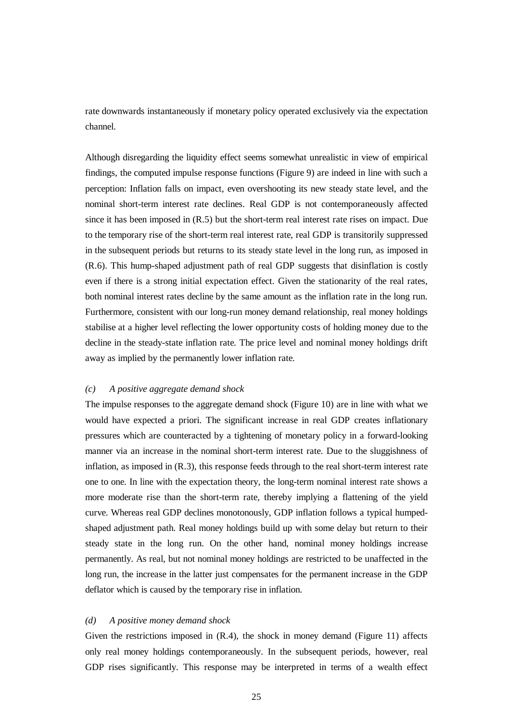rate downwards instantaneously if monetary policy operated exclusively via the expectation channel.

Although disregarding the liquidity effect seems somewhat unrealistic in view of empirical findings, the computed impulse response functions (Figure 9) are indeed in line with such a perception: Inflation falls on impact, even overshooting its new steady state level, and the nominal short-term interest rate declines. Real GDP is not contemporaneously affected since it has been imposed in (R.5) but the short-term real interest rate rises on impact. Due to the temporary rise of the short-term real interest rate, real GDP is transitorily suppressed in the subsequent periods but returns to its steady state level in the long run, as imposed in (R.6). This hump-shaped adjustment path of real GDP suggests that disinflation is costly even if there is a strong initial expectation effect. Given the stationarity of the real rates, both nominal interest rates decline by the same amount as the inflation rate in the long run. Furthermore, consistent with our long-run money demand relationship, real money holdings stabilise at a higher level reflecting the lower opportunity costs of holding money due to the decline in the steady-state inflation rate. The price level and nominal money holdings drift away as implied by the permanently lower inflation rate.

#### *(c) A positive aggregate demand shock*

The impulse responses to the aggregate demand shock (Figure 10) are in line with what we would have expected a priori. The significant increase in real GDP creates inflationary pressures which are counteracted by a tightening of monetary policy in a forward-looking manner via an increase in the nominal short-term interest rate. Due to the sluggishness of inflation, as imposed in (R.3), this response feeds through to the real short-term interest rate one to one. In line with the expectation theory, the long-term nominal interest rate shows a more moderate rise than the short-term rate, thereby implying a flattening of the yield curve. Whereas real GDP declines monotonously, GDP inflation follows a typical humpedshaped adjustment path. Real money holdings build up with some delay but return to their steady state in the long run. On the other hand, nominal money holdings increase permanently. As real, but not nominal money holdings are restricted to be unaffected in the long run, the increase in the latter just compensates for the permanent increase in the GDP deflator which is caused by the temporary rise in inflation.

#### *(d) A positive money demand shock*

Given the restrictions imposed in (R.4), the shock in money demand (Figure 11) affects only real money holdings contemporaneously. In the subsequent periods, however, real GDP rises significantly. This response may be interpreted in terms of a wealth effect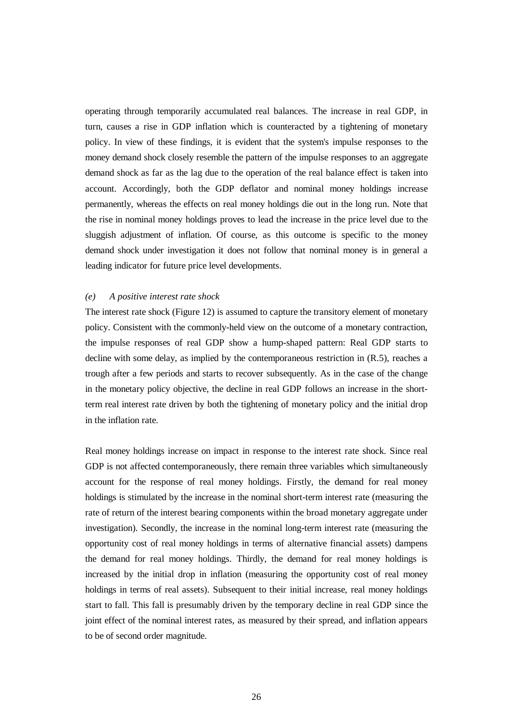operating through temporarily accumulated real balances. The increase in real GDP, in turn, causes a rise in GDP inflation which is counteracted by a tightening of monetary policy. In view of these findings, it is evident that the system's impulse responses to the money demand shock closely resemble the pattern of the impulse responses to an aggregate demand shock as far as the lag due to the operation of the real balance effect is taken into account. Accordingly, both the GDP deflator and nominal money holdings increase permanently, whereas the effects on real money holdings die out in the long run. Note that the rise in nominal money holdings proves to lead the increase in the price level due to the sluggish adjustment of inflation. Of course, as this outcome is specific to the money demand shock under investigation it does not follow that nominal money is in general a leading indicator for future price level developments.

### *(e) A positive interest rate shock*

The interest rate shock (Figure 12) is assumed to capture the transitory element of monetary policy. Consistent with the commonly-held view on the outcome of a monetary contraction, the impulse responses of real GDP show a hump-shaped pattern: Real GDP starts to decline with some delay, as implied by the contemporaneous restriction in (R.5), reaches a trough after a few periods and starts to recover subsequently. As in the case of the change in the monetary policy objective, the decline in real GDP follows an increase in the shortterm real interest rate driven by both the tightening of monetary policy and the initial drop in the inflation rate.

Real money holdings increase on impact in response to the interest rate shock. Since real GDP is not affected contemporaneously, there remain three variables which simultaneously account for the response of real money holdings. Firstly, the demand for real money holdings is stimulated by the increase in the nominal short-term interest rate (measuring the rate of return of the interest bearing components within the broad monetary aggregate under investigation). Secondly, the increase in the nominal long-term interest rate (measuring the opportunity cost of real money holdings in terms of alternative financial assets) dampens the demand for real money holdings. Thirdly, the demand for real money holdings is increased by the initial drop in inflation (measuring the opportunity cost of real money holdings in terms of real assets). Subsequent to their initial increase, real money holdings start to fall. This fall is presumably driven by the temporary decline in real GDP since the joint effect of the nominal interest rates, as measured by their spread, and inflation appears to be of second order magnitude.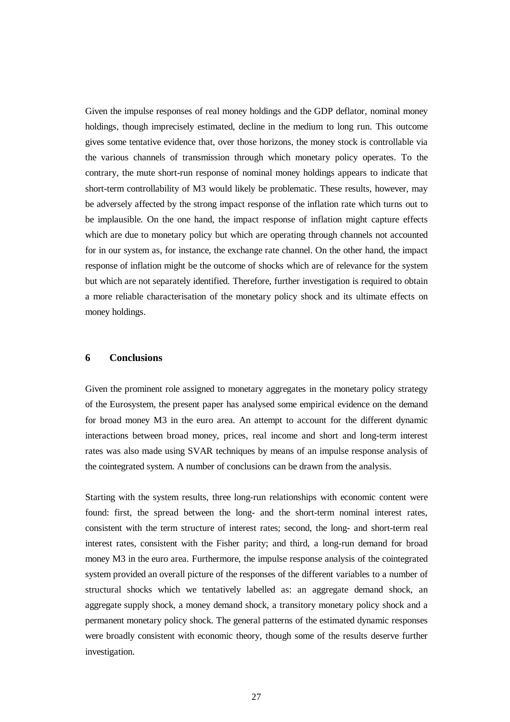Given the impulse responses of real money holdings and the GDP deflator, nominal money holdings, though imprecisely estimated, decline in the medium to long run. This outcome gives some tentative evidence that, over those horizons, the money stock is controllable via the various channels of transmission through which monetary policy operates. To the contrary, the mute short-run response of nominal money holdings appears to indicate that short-term controllability of M3 would likely be problematic. These results, however, may be adversely affected by the strong impact response of the inflation rate which turns out to be implausible. On the one hand, the impact response of inflation might capture effects which are due to monetary policy but which are operating through channels not accounted for in our system as, for instance, the exchange rate channel. On the other hand, the impact response of inflation might be the outcome of shocks which are of relevance for the system but which are not separately identified. Therefore, further investigation is required to obtain a more reliable characterisation of the monetary policy shock and its ultimate effects on money holdings.

# **6 Conclusions**

Given the prominent role assigned to monetary aggregates in the monetary policy strategy of the Eurosystem, the present paper has analysed some empirical evidence on the demand for broad money M3 in the euro area. An attempt to account for the different dynamic interactions between broad money, prices, real income and short and long-term interest rates was also made using SVAR techniques by means of an impulse response analysis of the cointegrated system. A number of conclusions can be drawn from the analysis.

Starting with the system results, three long-run relationships with economic content were found: first, the spread between the long- and the short-term nominal interest rates, consistent with the term structure of interest rates; second, the long- and short-term real interest rates, consistent with the Fisher parity; and third, a long-run demand for broad money M3 in the euro area. Furthermore, the impulse response analysis of the cointegrated system provided an overall picture of the responses of the different variables to a number of structural shocks which we tentatively labelled as: an aggregate demand shock, an aggregate supply shock, a money demand shock, a transitory monetary policy shock and a permanent monetary policy shock. The general patterns of the estimated dynamic responses were broadly consistent with economic theory, though some of the results deserve further investigation.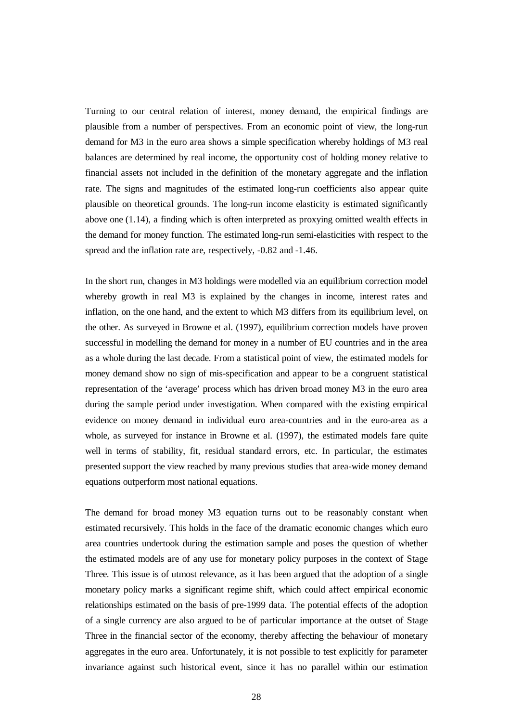Turning to our central relation of interest, money demand, the empirical findings are plausible from a number of perspectives. From an economic point of view, the long-run demand for M3 in the euro area shows a simple specification whereby holdings of M3 real balances are determined by real income, the opportunity cost of holding money relative to financial assets not included in the definition of the monetary aggregate and the inflation rate. The signs and magnitudes of the estimated long-run coefficients also appear quite plausible on theoretical grounds. The long-run income elasticity is estimated significantly above one (1.14), a finding which is often interpreted as proxying omitted wealth effects in the demand for money function. The estimated long-run semi-elasticities with respect to the spread and the inflation rate are, respectively, -0.82 and -1.46.

In the short run, changes in M3 holdings were modelled via an equilibrium correction model whereby growth in real M3 is explained by the changes in income, interest rates and inflation, on the one hand, and the extent to which M3 differs from its equilibrium level, on the other. As surveyed in Browne et al. (1997), equilibrium correction models have proven successful in modelling the demand for money in a number of EU countries and in the area as a whole during the last decade. From a statistical point of view, the estimated models for money demand show no sign of mis-specification and appear to be a congruent statistical representation of the 'average' process which has driven broad money M3 in the euro area during the sample period under investigation. When compared with the existing empirical evidence on money demand in individual euro area-countries and in the euro-area as a whole, as surveyed for instance in Browne et al. (1997), the estimated models fare quite well in terms of stability, fit, residual standard errors, etc. In particular, the estimates presented support the view reached by many previous studies that area-wide money demand equations outperform most national equations.

The demand for broad money M3 equation turns out to be reasonably constant when estimated recursively. This holds in the face of the dramatic economic changes which euro area countries undertook during the estimation sample and poses the question of whether the estimated models are of any use for monetary policy purposes in the context of Stage Three. This issue is of utmost relevance, as it has been argued that the adoption of a single monetary policy marks a significant regime shift, which could affect empirical economic relationships estimated on the basis of pre-1999 data. The potential effects of the adoption of a single currency are also argued to be of particular importance at the outset of Stage Three in the financial sector of the economy, thereby affecting the behaviour of monetary aggregates in the euro area. Unfortunately, it is not possible to test explicitly for parameter invariance against such historical event, since it has no parallel within our estimation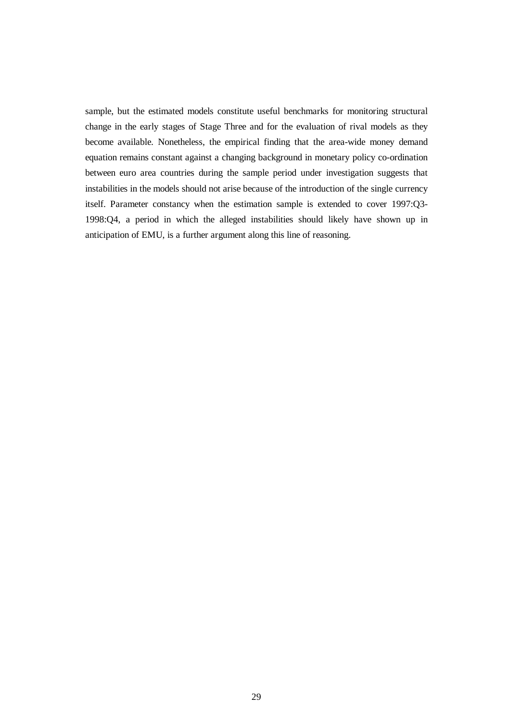sample, but the estimated models constitute useful benchmarks for monitoring structural change in the early stages of Stage Three and for the evaluation of rival models as they become available. Nonetheless, the empirical finding that the area-wide money demand equation remains constant against a changing background in monetary policy co-ordination between euro area countries during the sample period under investigation suggests that instabilities in the models should not arise because of the introduction of the single currency itself. Parameter constancy when the estimation sample is extended to cover 1997:Q3- 1998:Q4, a period in which the alleged instabilities should likely have shown up in anticipation of EMU, is a further argument along this line of reasoning.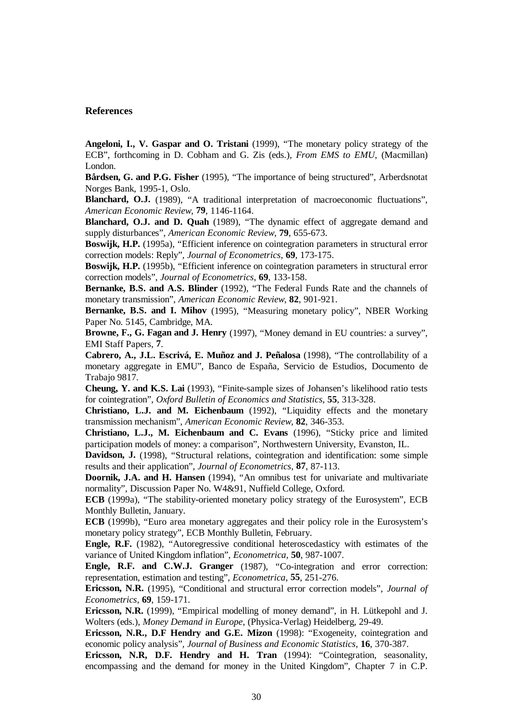# **References**

**Angeloni, I., V. Gaspar and O. Tristani** (1999), "The monetary policy strategy of the ECB", forthcoming in D. Cobham and G. Zis (eds.), *From EMS to EMU*, (Macmillan) London.

**Bårdsen, G. and P.G. Fisher** (1995), "The importance of being structured", Arberdsnotat Norges Bank, 1995-1, Oslo.

**Blanchard, O.J.** (1989), "A traditional interpretation of macroeconomic fluctuations", *American Economic Review*, **79**, 1146-1164.

**Blanchard, O.J. and D. Quah** (1989), "The dynamic effect of aggregate demand and supply disturbances", *American Economic Review*, **79**, 655-673.

**Boswijk, H.P.** (1995a), "Efficient inference on cointegration parameters in structural error correction models: Reply", *Journal of Econometrics*, **69**, 173-175.

**Boswijk, H.P.** (1995b), "Efficient inference on cointegration parameters in structural error correction models", *Journal of Econometrics*, **69**, 133-158.

**Bernanke, B.S. and A.S. Blinder** (1992), "The Federal Funds Rate and the channels of monetary transmission", *American Economic Review*, **82**, 901-921.

**Bernanke, B.S. and I. Mihov** (1995), "Measuring monetary policy", NBER Working Paper No. 5145, Cambridge, MA.

**Browne, F., G. Fagan and J. Henry** (1997), "Money demand in EU countries: a survey", EMI Staff Papers, **7**.

**Cabrero, A., J.L. Escrivá, E. Muñoz and J. Peñalosa** (1998), "The controllability of a monetary aggregate in EMU", Banco de España, Servicio de Estudios, Documento de Trabajo 9817.

**Cheung, Y. and K.S. Lai** (1993), "Finite-sample sizes of Johansen's likelihood ratio tests for cointegration", *Oxford Bulletin of Economics and Statistics,* **55**, 313-328.

**Christiano, L.J. and M. Eichenbaum** (1992), "Liquidity effects and the monetary transmission mechanism", *American Economic Review*, **82**, 346-353.

**Christiano, L.J., M. Eichenbaum and C. Evans** (1996), "Sticky price and limited participation models of money: a comparison", Northwestern University, Evanston, IL.

**Davidson, J.** (1998), "Structural relations, cointegration and identification: some simple results and their application", *Journal of Econometrics*, **87**, 87-113.

**Doornik, J.A. and H. Hansen** (1994), "An omnibus test for univariate and multivariate normality", Discussion Paper No. W4&91, Nuffield College, Oxford.

**ECB** (1999a), "The stability-oriented monetary policy strategy of the Eurosystem", ECB Monthly Bulletin, January.

**ECB** (1999b), "Euro area monetary aggregates and their policy role in the Eurosystem's monetary policy strategy", ECB Monthly Bulletin, February.

**Engle, R.F.** (1982), "Autoregressive conditional heteroscedasticy with estimates of the variance of United Kingdom inflation", *Econometrica*, **50**, 987-1007.

**Engle, R.F. and C.W.J. Granger** (1987), "Co-integration and error correction: representation, estimation and testing", *Econometrica*, **55**, 251-276.

**Ericsson, N.R.** (1995), "Conditional and structural error correction models", *Journal of Econometrics*, **69**, 159-171.

**Ericsson, N.R.** (1999), "Empirical modelling of money demand", in H. Lütkepohl and J. Wolters (eds.), *Money Demand in Europe*, (Physica-Verlag) Heidelberg, 29-49.

**Ericsson, N.R., D.F Hendry and G.E. Mizon** (1998): "Exogeneity, cointegration and economic policy analysis", *Journal of Business and Economic Statistics*, **16**, 370-387.

**Ericsson, N.R, D.F. Hendry and H. Tran** (1994): "Cointegration, seasonality, encompassing and the demand for money in the United Kingdom", Chapter 7 in C.P.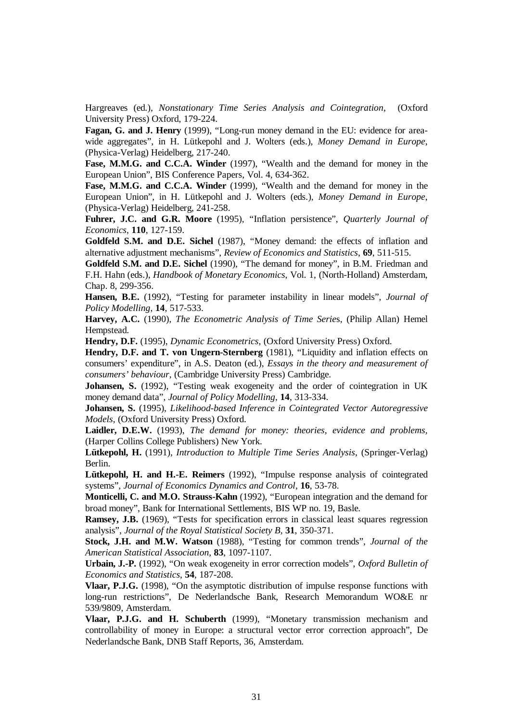Hargreaves (ed.), *Nonstationary Time Series Analysis and Cointegration*, (Oxford University Press) Oxford, 179-224.

**Fagan, G. and J. Henry** (1999), "Long-run money demand in the EU: evidence for areawide aggregates", in H. Lütkepohl and J. Wolters (eds.), *Money Demand in Europe*, (Physica-Verlag) Heidelberg, 217-240.

**Fase, M.M.G. and C.C.A. Winder** (1997), "Wealth and the demand for money in the European Union", BIS Conference Papers, Vol. 4, 634-362.

**Fase, M.M.G. and C.C.A. Winder** (1999), "Wealth and the demand for money in the European Union", in H. Lütkepohl and J. Wolters (eds.), *Money Demand in Europe*, (Physica-Verlag) Heidelberg, 241-258.

**Fuhrer, J.C. and G.R. Moore** (1995), "Inflation persistence", *Quarterly Journal of Economics*, **110**, 127-159.

**Goldfeld S.M. and D.E. Sichel** (1987), "Money demand: the effects of inflation and alternative adjustment mechanisms", *Review of Economics and Statistics*, **69**, 511-515.

**Goldfeld S.M. and D.E. Sichel** (1990), "The demand for money", in B.M. Friedman and F.H. Hahn (eds.), *Handbook of Monetary Economics*, Vol. 1, (North-Holland) Amsterdam, Chap. 8, 299-356.

**Hansen, B.E.** (1992), "Testing for parameter instability in linear models", *Journal of Policy Modelling*, **14**, 517-533.

**Harvey, A.C.** (1990), *The Econometric Analysis of Time Serie*s, (Philip Allan) Hemel Hempstead.

**Hendry, D.F.** (1995), *Dynamic Econometrics*, (Oxford University Press) Oxford.

**Hendry, D.F. and T. von Ungern-Sternberg** (1981), "Liquidity and inflation effects on consumers' expenditure", in A.S. Deaton (ed.), *Essays in the theory and measurement of consumers' behaviour*, (Cambridge University Press) Cambridge.

**Johansen, S.** (1992), "Testing weak exogeneity and the order of cointegration in UK money demand data", *Journal of Policy Modelling*, **14**, 313-334.

**Johansen, S.** (1995), *Likelihood-based Inference in Cointegrated Vector Autoregressive Models*, (Oxford University Press) Oxford.

**Laidler, D.E.W.** (1993), *The demand for money: theories, evidence and problems,* (Harper Collins College Publishers) New York.

**Lütkepohl, H.** (1991), *Introduction to Multiple Time Series Analysis*, (Springer-Verlag) Berlin.

**Lütkepohl, H. and H.-E. Reimers** (1992), "Impulse response analysis of cointegrated systems", *Journal of Economics Dynamics and Control*, **16**, 53-78.

**Monticelli, C. and M.O. Strauss-Kahn** (1992), "European integration and the demand for broad money", Bank for International Settlements, BIS WP no. 19, Basle.

**Ramsey, J.B.** (1969), "Tests for specification errors in classical least squares regression analysis", *Journal of the Royal Statistical Society B,* **31**, 350-371.

**Stock, J.H. and M.W. Watson** (1988), "Testing for common trends", *Journal of the American Statistical Association*, **83**, 1097-1107.

**Urbain, J.-P.** (1992), "On weak exogeneity in error correction models", *Oxford Bulletin of Economics and Statistics*, **54**, 187-208.

**Vlaar, P.J.G.** (1998), "On the asymptotic distribution of impulse response functions with long-run restrictions", De Nederlandsche Bank, Research Memorandum WO&E nr 539/9809, Amsterdam.

**Vlaar, P.J.G. and H. Schuberth** (1999), "Monetary transmission mechanism and controllability of money in Europe: a structural vector error correction approach", De Nederlandsche Bank, DNB Staff Reports, 36, Amsterdam.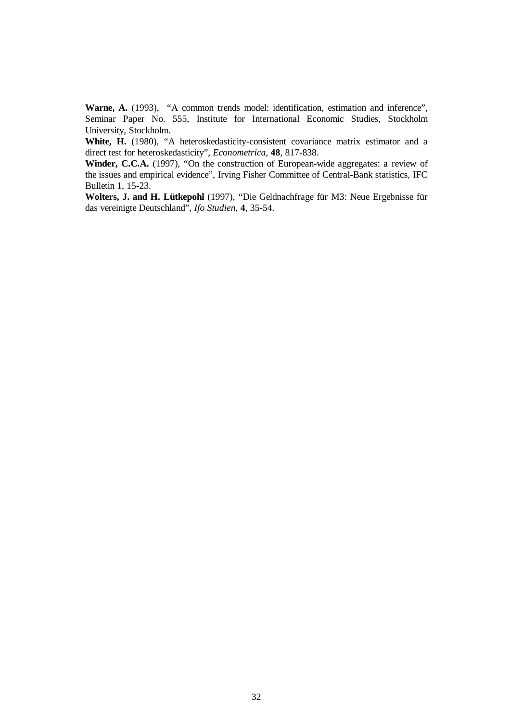Warne, A. (1993), "A common trends model: identification, estimation and inference", Seminar Paper No. 555, Institute for International Economic Studies, Stockholm University, Stockholm.

White, H. (1980), "A heteroskedasticity-consistent covariance matrix estimator and a direct test for heteroskedasticity", *Econometrica*, **48**, 817-838.

Winder, C.C.A. (1997), "On the construction of European-wide aggregates: a review of the issues and empirical evidence", Irving Fisher Committee of Central-Bank statistics, IFC Bulletin 1, 15-23.

**Wolters, J. and H. Lütkepohl** (1997), "Die Geldnachfrage für M3: Neue Ergebnisse für das vereinigte Deutschland", *Ifo Studien*, **4**, 35-54.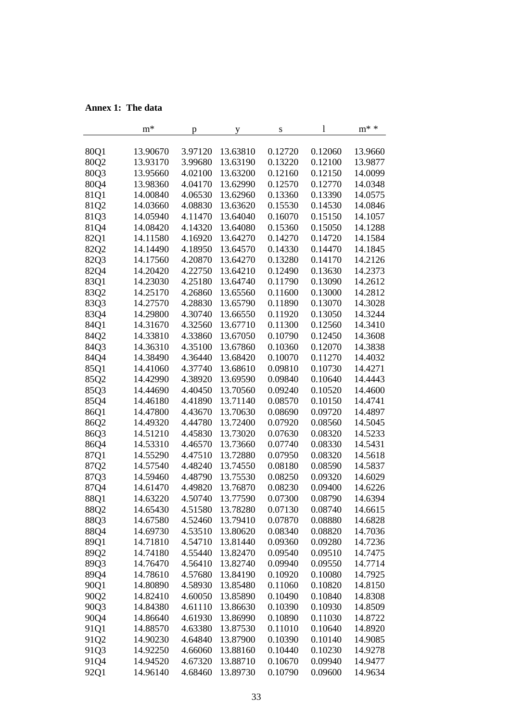# **Annex 1: The data**

|      | $m^*$    | р       | y        | S       | 1       | $m^*$ * |
|------|----------|---------|----------|---------|---------|---------|
| 80Q1 | 13.90670 | 3.97120 | 13.63810 | 0.12720 | 0.12060 | 13.9660 |
| 80Q2 | 13.93170 | 3.99680 | 13.63190 | 0.13220 | 0.12100 | 13.9877 |
| 80Q3 | 13.95660 | 4.02100 | 13.63200 | 0.12160 | 0.12150 | 14.0099 |
| 80Q4 | 13.98360 | 4.04170 | 13.62990 | 0.12570 | 0.12770 | 14.0348 |
| 81Q1 | 14.00840 | 4.06530 | 13.62960 | 0.13360 | 0.13390 | 14.0575 |
| 81Q2 | 14.03660 | 4.08830 | 13.63620 | 0.15530 | 0.14530 | 14.0846 |
| 81Q3 | 14.05940 | 4.11470 | 13.64040 | 0.16070 | 0.15150 | 14.1057 |
| 81Q4 | 14.08420 | 4.14320 | 13.64080 | 0.15360 | 0.15050 | 14.1288 |
| 82Q1 | 14.11580 | 4.16920 | 13.64270 | 0.14270 | 0.14720 | 14.1584 |
| 82Q2 | 14.14490 | 4.18950 | 13.64570 | 0.14330 | 0.14470 | 14.1845 |
| 82Q3 | 14.17560 | 4.20870 | 13.64270 | 0.13280 | 0.14170 | 14.2126 |
| 82Q4 | 14.20420 | 4.22750 | 13.64210 | 0.12490 | 0.13630 | 14.2373 |
| 83Q1 | 14.23030 | 4.25180 | 13.64740 | 0.11790 | 0.13090 | 14.2612 |
| 83Q2 | 14.25170 | 4.26860 | 13.65560 | 0.11600 | 0.13000 | 14.2812 |
| 83Q3 | 14.27570 | 4.28830 | 13.65790 | 0.11890 | 0.13070 | 14.3028 |
| 83Q4 | 14.29800 | 4.30740 | 13.66550 | 0.11920 | 0.13050 | 14.3244 |
| 84Q1 | 14.31670 | 4.32560 | 13.67710 | 0.11300 | 0.12560 | 14.3410 |
| 84Q2 | 14.33810 | 4.33860 | 13.67050 | 0.10790 | 0.12450 | 14.3608 |
| 84Q3 | 14.36310 | 4.35100 | 13.67860 | 0.10360 | 0.12070 | 14.3838 |
| 84Q4 | 14.38490 | 4.36440 | 13.68420 | 0.10070 | 0.11270 | 14.4032 |
| 85Q1 | 14.41060 | 4.37740 | 13.68610 | 0.09810 | 0.10730 | 14.4271 |
| 85Q2 | 14.42990 | 4.38920 | 13.69590 | 0.09840 | 0.10640 | 14.4443 |
| 85Q3 | 14.44690 | 4.40450 | 13.70560 | 0.09240 | 0.10520 | 14.4600 |
| 85Q4 | 14.46180 | 4.41890 | 13.71140 | 0.08570 | 0.10150 | 14.4741 |
| 86Q1 | 14.47800 | 4.43670 | 13.70630 | 0.08690 | 0.09720 | 14.4897 |
| 86Q2 | 14.49320 | 4.44780 | 13.72400 | 0.07920 | 0.08560 | 14.5045 |
| 86Q3 | 14.51210 | 4.45830 | 13.73020 | 0.07630 | 0.08320 | 14.5233 |
| 86Q4 | 14.53310 | 4.46570 | 13.73660 | 0.07740 | 0.08330 | 14.5431 |
| 87Q1 | 14.55290 | 4.47510 | 13.72880 | 0.07950 | 0.08320 | 14.5618 |
| 87Q2 | 14.57540 | 4.48240 | 13.74550 | 0.08180 | 0.08590 | 14.5837 |
| 87Q3 | 14.59460 | 4.48790 | 13.75530 | 0.08250 | 0.09320 | 14.6029 |
| 87Q4 | 14.61470 | 4.49820 | 13.76870 | 0.08230 | 0.09400 | 14.6226 |
| 88Q1 | 14.63220 | 4.50740 | 13.77590 | 0.07300 | 0.08790 | 14.6394 |
| 88Q2 | 14.65430 | 4.51580 | 13.78280 | 0.07130 | 0.08740 | 14.6615 |
| 88Q3 | 14.67580 | 4.52460 | 13.79410 | 0.07870 | 0.08880 | 14.6828 |
| 88Q4 | 14.69730 | 4.53510 | 13.80620 | 0.08340 | 0.08820 | 14.7036 |
| 89Q1 | 14.71810 | 4.54710 | 13.81440 | 0.09360 | 0.09280 | 14.7236 |
| 89Q2 | 14.74180 | 4.55440 | 13.82470 | 0.09540 | 0.09510 | 14.7475 |
| 89Q3 | 14.76470 | 4.56410 | 13.82740 | 0.09940 | 0.09550 | 14.7714 |
| 89Q4 | 14.78610 | 4.57680 | 13.84190 | 0.10920 | 0.10080 | 14.7925 |
| 90Q1 | 14.80890 | 4.58930 | 13.85480 | 0.11060 | 0.10820 | 14.8150 |
| 90Q2 | 14.82410 | 4.60050 | 13.85890 | 0.10490 | 0.10840 | 14.8308 |
| 90Q3 | 14.84380 | 4.61110 | 13.86630 | 0.10390 | 0.10930 | 14.8509 |
| 90Q4 | 14.86640 | 4.61930 | 13.86990 | 0.10890 | 0.11030 | 14.8722 |
| 91Q1 | 14.88570 | 4.63380 | 13.87530 | 0.11010 | 0.10640 | 14.8920 |
| 91Q2 | 14.90230 | 4.64840 | 13.87900 | 0.10390 | 0.10140 | 14.9085 |
| 91Q3 | 14.92250 | 4.66060 | 13.88160 | 0.10440 | 0.10230 | 14.9278 |
| 91Q4 | 14.94520 | 4.67320 | 13.88710 | 0.10670 | 0.09940 | 14.9477 |
| 92Q1 | 14.96140 | 4.68460 | 13.89730 | 0.10790 | 0.09600 | 14.9634 |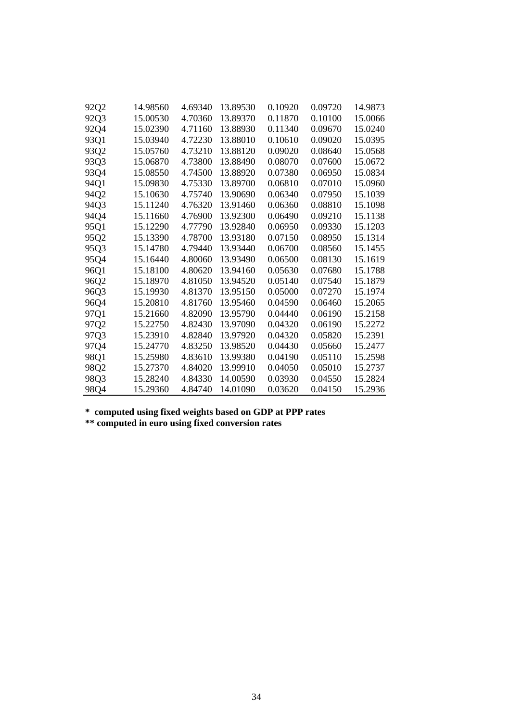| 92Q2 | 14.98560 | 4.69340 | 13.89530 | 0.10920 | 0.09720 | 14.9873 |
|------|----------|---------|----------|---------|---------|---------|
| 92Q3 | 15.00530 | 4.70360 | 13.89370 | 0.11870 | 0.10100 | 15.0066 |
| 92Q4 | 15.02390 | 4.71160 | 13.88930 | 0.11340 | 0.09670 | 15.0240 |
| 93Q1 | 15.03940 | 4.72230 | 13.88010 | 0.10610 | 0.09020 | 15.0395 |
| 93Q2 | 15.05760 | 4.73210 | 13.88120 | 0.09020 | 0.08640 | 15.0568 |
| 93Q3 | 15.06870 | 4.73800 | 13.88490 | 0.08070 | 0.07600 | 15.0672 |
| 93Q4 | 15.08550 | 4.74500 | 13.88920 | 0.07380 | 0.06950 | 15.0834 |
| 94Q1 | 15.09830 | 4.75330 | 13.89700 | 0.06810 | 0.07010 | 15.0960 |
| 94Q2 | 15.10630 | 4.75740 | 13.90690 | 0.06340 | 0.07950 | 15.1039 |
| 94Q3 | 15.11240 | 4.76320 | 13.91460 | 0.06360 | 0.08810 | 15.1098 |
| 94Q4 | 15.11660 | 4.76900 | 13.92300 | 0.06490 | 0.09210 | 15.1138 |
| 95Q1 | 15.12290 | 4.77790 | 13.92840 | 0.06950 | 0.09330 | 15.1203 |
| 95Q2 | 15.13390 | 4.78700 | 13.93180 | 0.07150 | 0.08950 | 15.1314 |
| 95Q3 | 15.14780 | 4.79440 | 13.93440 | 0.06700 | 0.08560 | 15.1455 |
| 95Q4 | 15.16440 | 4.80060 | 13.93490 | 0.06500 | 0.08130 | 15.1619 |
| 96Q1 | 15.18100 | 4.80620 | 13.94160 | 0.05630 | 0.07680 | 15.1788 |
| 96Q2 | 15.18970 | 4.81050 | 13.94520 | 0.05140 | 0.07540 | 15.1879 |
| 96Q3 | 15.19930 | 4.81370 | 13.95150 | 0.05000 | 0.07270 | 15.1974 |
| 96Q4 | 15.20810 | 4.81760 | 13.95460 | 0.04590 | 0.06460 | 15.2065 |
| 97Q1 | 15.21660 | 4.82090 | 13.95790 | 0.04440 | 0.06190 | 15.2158 |
| 97Q2 | 15.22750 | 4.82430 | 13.97090 | 0.04320 | 0.06190 | 15.2272 |
| 97Q3 | 15.23910 | 4.82840 | 13.97920 | 0.04320 | 0.05820 | 15.2391 |
| 97Q4 | 15.24770 | 4.83250 | 13.98520 | 0.04430 | 0.05660 | 15.2477 |
| 98Q1 | 15.25980 | 4.83610 | 13.99380 | 0.04190 | 0.05110 | 15.2598 |
| 98Q2 | 15.27370 | 4.84020 | 13.99910 | 0.04050 | 0.05010 | 15.2737 |
| 98Q3 | 15.28240 | 4.84330 | 14.00590 | 0.03930 | 0.04550 | 15.2824 |
| 98Q4 | 15.29360 | 4.84740 | 14.01090 | 0.03620 | 0.04150 | 15.2936 |

**\* computed using fixed weights based on GDP at PPP rates**

**\*\* computed in euro using fixed conversion rates**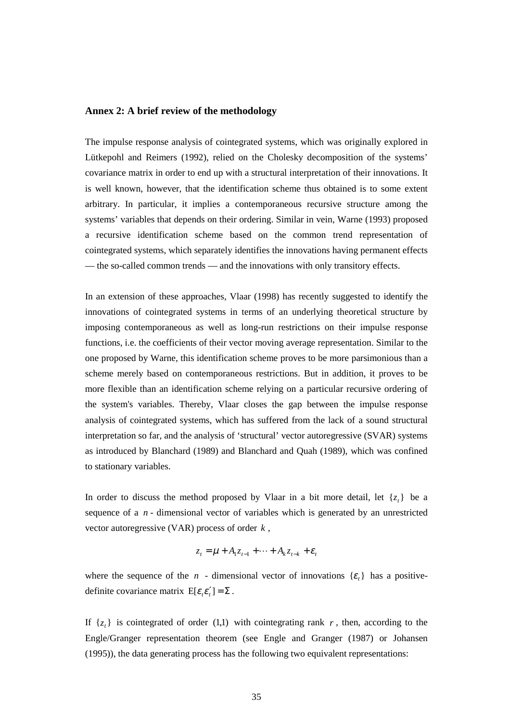# **Annex 2: A brief review of the methodology**

The impulse response analysis of cointegrated systems, which was originally explored in Lütkepohl and Reimers (1992), relied on the Cholesky decomposition of the systems' covariance matrix in order to end up with a structural interpretation of their innovations. It is well known, however, that the identification scheme thus obtained is to some extent arbitrary. In particular, it implies a contemporaneous recursive structure among the systems' variables that depends on their ordering. Similar in vein, Warne (1993) proposed a recursive identification scheme based on the common trend representation of cointegrated systems, which separately identifies the innovations having permanent effects — the so-called common trends — and the innovations with only transitory effects.

In an extension of these approaches, Vlaar (1998) has recently suggested to identify the innovations of cointegrated systems in terms of an underlying theoretical structure by imposing contemporaneous as well as long-run restrictions on their impulse response functions, i.e. the coefficients of their vector moving average representation. Similar to the one proposed by Warne, this identification scheme proves to be more parsimonious than a scheme merely based on contemporaneous restrictions. But in addition, it proves to be more flexible than an identification scheme relying on a particular recursive ordering of the system's variables. Thereby, Vlaar closes the gap between the impulse response analysis of cointegrated systems, which has suffered from the lack of a sound structural interpretation so far, and the analysis of 'structural' vector autoregressive (SVAR) systems as introduced by Blanchard (1989) and Blanchard and Quah (1989), which was confined to stationary variables.

In order to discuss the method proposed by Vlaar in a bit more detail, let  $\{z_t\}$  be a sequence of a *n* - dimensional vector of variables which is generated by an unrestricted vector autoregressive (VAR) process of order *k* ,

$$
z_t = \mu + A_1 z_{t-1} + \dots + A_k z_{t-k} + \varepsilon_t
$$

where the sequence of the *n* - dimensional vector of innovations  $\{\varepsilon_t\}$  has a positivedefinite covariance matrix  $E[\varepsilon_i \varepsilon'_i] = \Sigma$ .

If  $\{z_t\}$  is cointegrated of order (1,1) with cointegrating rank r, then, according to the Engle/Granger representation theorem (see Engle and Granger (1987) or Johansen (1995)), the data generating process has the following two equivalent representations: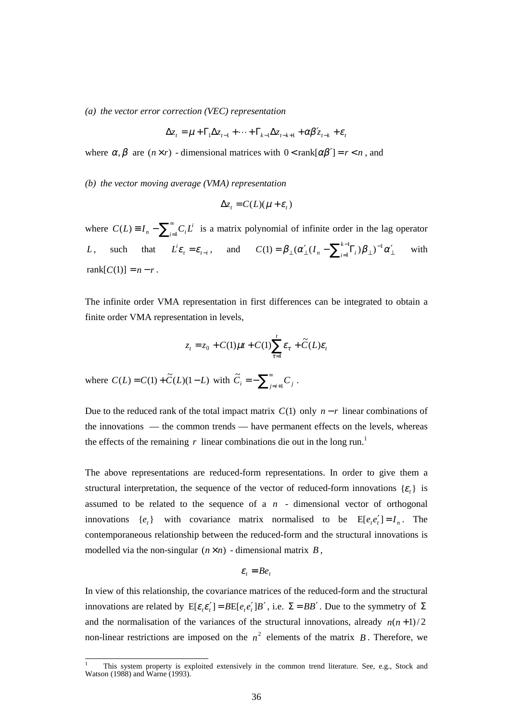*(a) the vector error correction (VEC) representation*

$$
\Delta z_t = \mu + \Gamma_1 \Delta z_{t-1} + \dots + \Gamma_{k-1} \Delta z_{t-k+1} + \alpha \beta' z_{t-k} + \varepsilon_t
$$

where  $\alpha, \beta$  are  $(n \times r)$  - dimensional matrices with  $0 < \text{rank}[\alpha\beta'] = r < n$ , and

*(b) the vector moving average (VMA) representation*

$$
\Delta z_t = C(L)(\mu + \varepsilon_t)
$$

where  $C(L) \equiv I_n - \sum_{i=1}^{\infty} C_i L^i$  is a matrix polynomial of infinite order in the lag operator *L*, such that  $\vec{L} \varepsilon_t = \varepsilon_{t-i}$ , and  $C(1) = \beta_{\perp} (\alpha'_{\perp} (I_n - \sum_{i=1}^{k-1} \Gamma_i) \beta_{\perp})^{-1} \alpha'_{\perp}$  $C(1) = \beta_{\perp} (\alpha'_{\perp} (I_n - \sum_{i=1}^{k-1} \Gamma_i) \beta_{\perp})^{-1} \alpha'_{\perp}$  with rank $[C(1)] = n - r$ .

The infinite order VMA representation in first differences can be integrated to obtain a finite order VMA representation in levels,

$$
z_t = z_0 + C(1)\mu t + C(1)\sum_{\tau=1}^t \varepsilon_\tau + \widetilde{C}(L)\varepsilon_t
$$

where  $C(L) = C(1) + \tilde{C}(L)(1 - L)$  with  $\tilde{C}_i = -\sum_{j=i+1}^{\infty}$  $\ddot{C}_i = -\sum_{j=i+1}^{\infty} C_j$ .

Due to the reduced rank of the total impact matrix  $C(1)$  only  $n - r$  linear combinations of the innovations — the common trends — have permanent effects on the levels, whereas the effects of the remaining  $r$  linear combinations die out in the long run.<sup>1</sup>

The above representations are reduced-form representations. In order to give them a structural interpretation, the sequence of the vector of reduced-form innovations  $\{\varepsilon_t\}$  is assumed to be related to the sequence of  $a$   $n$  - dimensional vector of orthogonal innovations  $\{e_t\}$  with covariance matrix normalised to be  $E[e_t e_t'] = I_n$ . The contemporaneous relationship between the reduced-form and the structural innovations is modelled via the non-singular  $(n \times n)$  - dimensional matrix *B*,

$$
\varepsilon_t = B e_t
$$

In view of this relationship, the covariance matrices of the reduced-form and the structural innovations are related by  $E[\varepsilon_i \varepsilon'_i] = BE[e_i e'_i]B'$ , i.e.  $\Sigma = BB'$ . Due to the symmetry of  $\Sigma$ and the normalisation of the variances of the structural innovations, already  $n(n+1)/2$ non-linear restrictions are imposed on the  $n^2$  elements of the matrix *B*. Therefore, we

 <sup>1</sup> This system property is exploited extensively in the common trend literature. See, e.g., Stock and Watson (1988) and Warne (1993).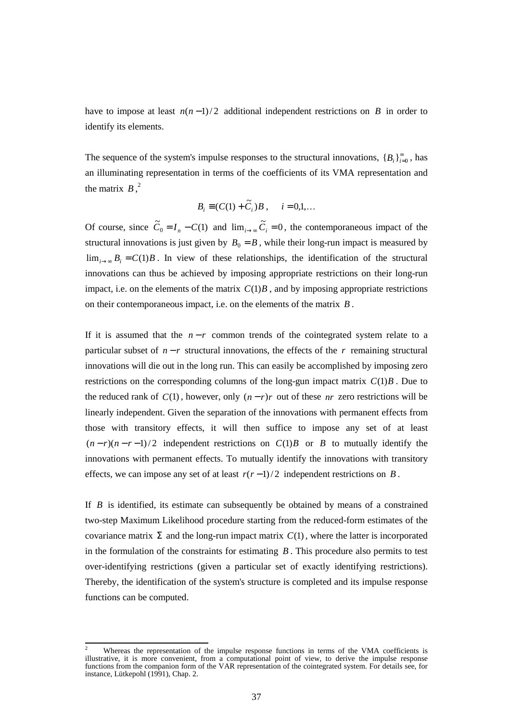have to impose at least  $n(n-1)/2$  additional independent restrictions on *B* in order to identify its elements.

The sequence of the system's impulse responses to the structural innovations,  ${B_i}_{i=0}^{\infty}$ , has an illuminating representation in terms of the coefficients of its VMA representation and the matrix  $B$ ,<sup>2</sup>

$$
B_i \equiv (C(1) + \widetilde{C}_i)B , \quad i = 0,1,...
$$

Of course, since  $\tilde{C}_0 = I_n - C(1)$  and  $\lim_{i \to \infty} \tilde{C}_i = 0$ , the contemporaneous impact of the structural innovations is just given by  $B_0 = B$ , while their long-run impact is measured by  $\lim_{i\to\infty} B_i = C(1)B$ . In view of these relationships, the identification of the structural innovations can thus be achieved by imposing appropriate restrictions on their long-run impact, i.e. on the elements of the matrix  $C(1)B$ , and by imposing appropriate restrictions on their contemporaneous impact, i.e. on the elements of the matrix *B* .

If it is assumed that the  $n-r$  common trends of the cointegrated system relate to a particular subset of  $n - r$  structural innovations, the effects of the  $r$  remaining structural innovations will die out in the long run. This can easily be accomplished by imposing zero restrictions on the corresponding columns of the long-gun impact matrix  $C(1)B$ . Due to the reduced rank of  $C(1)$ , however, only  $(n - r)r$  out of these *nr* zero restrictions will be linearly independent. Given the separation of the innovations with permanent effects from those with transitory effects, it will then suffice to impose any set of at least  $(n-r)(n-r-1)/2$  independent restrictions on  $C(1)B$  or *B* to mutually identify the innovations with permanent effects. To mutually identify the innovations with transitory effects, we can impose any set of at least  $r(r-1)/2$  independent restrictions on *B*.

If *B* is identified, its estimate can subsequently be obtained by means of a constrained two-step Maximum Likelihood procedure starting from the reduced-form estimates of the covariance matrix  $\Sigma$  and the long-run impact matrix  $C(1)$ , where the latter is incorporated in the formulation of the constraints for estimating *B* . This procedure also permits to test over-identifying restrictions (given a particular set of exactly identifying restrictions). Thereby, the identification of the system's structure is completed and its impulse response functions can be computed.

<sup>2</sup> Whereas the representation of the impulse response functions in terms of the VMA coefficients is illustrative, it is more convenient, from a computational point of view, to derive the impulse response functions from the companion form of the VAR representation of the cointegrated system. For details see, for instance, Lütkepohl (1991), Chap. 2.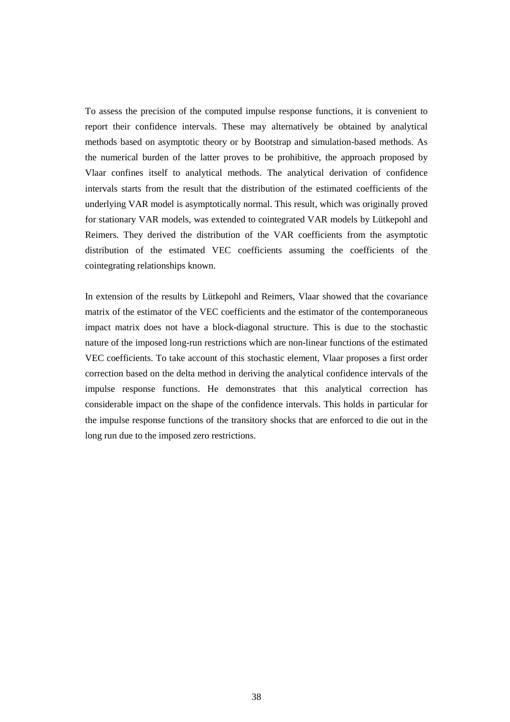To assess the precision of the computed impulse response functions, it is convenient to report their confidence intervals. These may alternatively be obtained by analytical methods based on asymptotic theory or by Bootstrap and simulation-based methods. As the numerical burden of the latter proves to be prohibitive, the approach proposed by Vlaar confines itself to analytical methods. The analytical derivation of confidence intervals starts from the result that the distribution of the estimated coefficients of the underlying VAR model is asymptotically normal. This result, which was originally proved for stationary VAR models, was extended to cointegrated VAR models by Lütkepohl and Reimers. They derived the distribution of the VAR coefficients from the asymptotic distribution of the estimated VEC coefficients assuming the coefficients of the cointegrating relationships known.

In extension of the results by Lütkepohl and Reimers, Vlaar showed that the covariance matrix of the estimator of the VEC coefficients and the estimator of the contemporaneous impact matrix does not have a block-diagonal structure. This is due to the stochastic nature of the imposed long-run restrictions which are non-linear functions of the estimated VEC coefficients. To take account of this stochastic element, Vlaar proposes a first order correction based on the delta method in deriving the analytical confidence intervals of the impulse response functions. He demonstrates that this analytical correction has considerable impact on the shape of the confidence intervals. This holds in particular for the impulse response functions of the transitory shocks that are enforced to die out in the long run due to the imposed zero restrictions.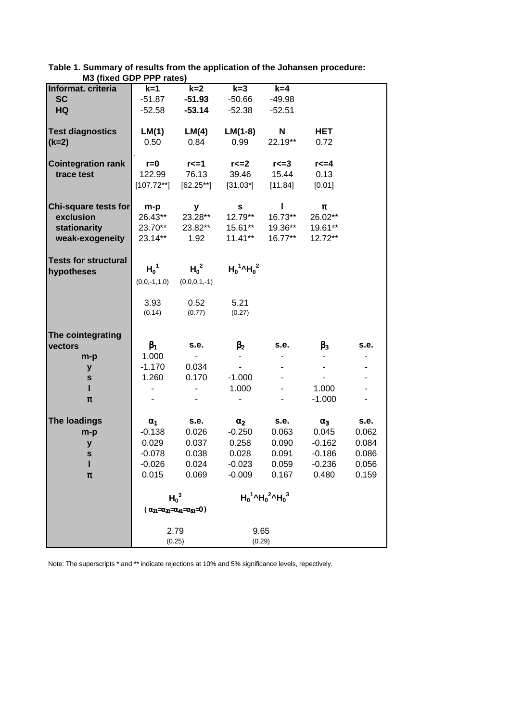| M                           |                |                                                       |                                                   |           |                |       |
|-----------------------------|----------------|-------------------------------------------------------|---------------------------------------------------|-----------|----------------|-------|
| Informat. criteria          | $k=1$          | $k=2$                                                 | $k=3$                                             | $k=4$     |                |       |
| <b>SC</b>                   | $-51.87$       | $-51.93$                                              | $-50.66$                                          | $-49.98$  |                |       |
| <b>HQ</b>                   | $-52.58$       | $-53.14$                                              | $-52.38$                                          | $-52.51$  |                |       |
|                             |                |                                                       |                                                   |           |                |       |
|                             |                |                                                       |                                                   |           |                |       |
| <b>Test diagnostics</b>     | LM(1)          | LM(4)                                                 | $LM(1-8)$                                         | N         | <b>HET</b>     |       |
| $(k=2)$                     | 0.50           | 0.84                                                  | 0.99                                              | 22.19**   | 0.72           |       |
|                             |                |                                                       |                                                   |           |                |       |
| <b>Cointegration rank</b>   | $r = 0$        | $r \leq 1$                                            | $r \leq 2$                                        | r<=3      | $r \leq 4$     |       |
| trace test                  | 122.99         | 76.13                                                 | 39.46                                             | 15.44     | 0.13           |       |
|                             | $[107.72**]$   | $[62.25**]$                                           | $[31.03^*]$                                       | [11.84]   | [0.01]         |       |
|                             |                |                                                       |                                                   |           |                |       |
|                             |                |                                                       |                                                   |           |                |       |
| Chi-square tests for        | m-p            | У                                                     | $\mathbf{s}$                                      | L         | $\pmb{\pi}$    |       |
| exclusion                   | 26.43**        | 23.28**                                               | 12.79**                                           | $16.73**$ | 26.02**        |       |
| stationarity                | 23.70**        | 23.82**                                               | $15.61**$                                         | 19.36**   | 19.61**        |       |
| weak-exogeneity             | 23.14**        | 1.92                                                  | $11.41***$                                        | $16.77**$ | 12.72**        |       |
|                             |                |                                                       |                                                   |           |                |       |
|                             |                |                                                       |                                                   |           |                |       |
| <b>Tests for structural</b> | $H_0^1$        | $H_0^2$                                               | $H_0^1$ <sup>1</sup> $H_0^2$                      |           |                |       |
| hypotheses                  |                |                                                       |                                                   |           |                |       |
|                             | $(0,0,-1,1,0)$ | $(0,0,0,1,-1)$                                        |                                                   |           |                |       |
|                             |                |                                                       |                                                   |           |                |       |
|                             | 3.93           | 0.52                                                  | 5.21                                              |           |                |       |
|                             | (0.14)         | (0.77)                                                | (0.27)                                            |           |                |       |
|                             |                |                                                       |                                                   |           |                |       |
|                             |                |                                                       |                                                   |           |                |       |
| The cointegrating           |                |                                                       |                                                   |           |                |       |
| vectors                     | $\beta_1$      | s.e.                                                  | $\beta_2$                                         | s.e.      | $\beta_3$      | s.e.  |
| $m-p$                       | 1.000          | $\sim$                                                |                                                   |           | $\blacksquare$ |       |
| У                           | $-1.170$       | 0.034                                                 | $\blacksquare$                                    |           |                |       |
| ${\bf s}$                   | 1.260          | 0.170                                                 | $-1.000$                                          |           | $\blacksquare$ |       |
| н                           |                |                                                       | 1.000                                             |           | 1.000          |       |
|                             |                |                                                       |                                                   |           |                |       |
| π                           |                |                                                       | $\overline{\phantom{0}}$                          |           | $-1.000$       |       |
|                             |                |                                                       |                                                   |           |                |       |
| The loadings                | $\alpha_{1}$   | s.e.                                                  | $\alpha_2$                                        | s.e.      | $\alpha_3$     | s.e.  |
| m-p                         | $-0.138$       | 0.026                                                 | $-0.250$                                          | 0.063     | 0.045          | 0.062 |
| у                           | 0.029          | 0.037                                                 | 0.258                                             | 0.090     | $-0.162$       | 0.084 |
|                             | $-0.078$       | 0.038                                                 | 0.028                                             | 0.091     | $-0.186$       | 0.086 |
| S                           |                |                                                       |                                                   |           |                |       |
| I                           | $-0.026$       | 0.024                                                 | $-0.023$                                          | 0.059     | $-0.236$       | 0.056 |
| π                           | 0.015          | 0.069                                                 | $-0.009$                                          | 0.167     | 0.480          | 0.159 |
|                             |                |                                                       |                                                   |           |                |       |
|                             | $H_0^3$        |                                                       | $H_0^1$ <sup>^</sup> $H_0^2$ <sup>^</sup> $H_0^3$ |           |                |       |
|                             |                |                                                       |                                                   |           |                |       |
|                             |                | $(\alpha_{21}=\alpha_{31}=\alpha_{41}=\alpha_{51}=0)$ |                                                   |           |                |       |
|                             |                |                                                       |                                                   |           |                |       |
|                             |                | 2.79                                                  |                                                   | 9.65      |                |       |
|                             |                | (0.25)                                                |                                                   | (0.29)    |                |       |

**Table 1. Summary of results from the application of the Johansen procedure: M3 (fixed GDP PPP rates)**

Note: The superscripts \* and \*\* indicate rejections at 10% and 5% significance levels, repectively.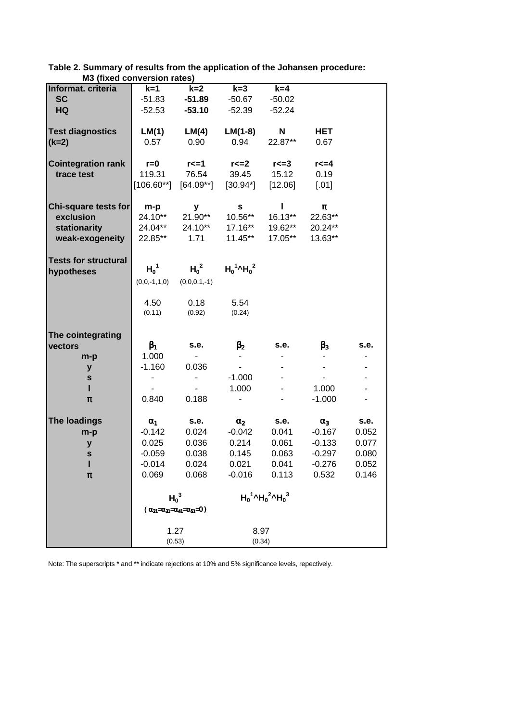| <b>MJ (IIXEU CUIIVEI SIUII TALES)</b> |                                                       |                          |                                              |                                                   |                |       |
|---------------------------------------|-------------------------------------------------------|--------------------------|----------------------------------------------|---------------------------------------------------|----------------|-------|
| Informat. criteria                    | $k=1$                                                 | $k=2$                    | $k=3$                                        | $k=4$                                             |                |       |
| <b>SC</b>                             | $-51.83$                                              | $-51.89$                 | $-50.67$                                     | $-50.02$                                          |                |       |
| HQ                                    | $-52.53$                                              | $-53.10$                 | $-52.39$                                     | $-52.24$                                          |                |       |
|                                       |                                                       |                          |                                              |                                                   |                |       |
|                                       |                                                       |                          |                                              |                                                   |                |       |
| <b>Test diagnostics</b>               | LM(1)                                                 | LM(4)                    | $LM(1-8)$                                    | N                                                 | <b>HET</b>     |       |
| $(k=2)$                               | 0.57                                                  | 0.90                     | 0.94                                         | 22.87**                                           | 0.67           |       |
|                                       |                                                       |                          |                                              |                                                   |                |       |
| <b>Cointegration rank</b>             | $r = 0$                                               | $r \leq -1$              | $r \leq 2$                                   | $r \leq 3$                                        | $r \leq 4$     |       |
| trace test                            | 119.31                                                | 76.54                    | 39.45                                        | 15.12                                             | 0.19           |       |
|                                       |                                                       | $[106.60**]$ $[64.09**]$ | $[30.94^*]$                                  | $[12.06]$                                         | $[.01]$        |       |
|                                       |                                                       |                          |                                              |                                                   |                |       |
|                                       |                                                       |                          |                                              |                                                   |                |       |
| Chi-square tests for                  | m-p                                                   | У                        | S                                            | L                                                 | π              |       |
| exclusion                             | 24.10**                                               | $21.90**$                | $10.56***$                                   | $16.13***$                                        | 22.63**        |       |
| stationarity                          | 24.04**                                               | 24.10**                  | $17.16***$                                   | 19.62**                                           | 20.24**        |       |
| weak-exogeneity                       | 22.85**                                               | 1.71                     | $11.45***$                                   | 17.05**                                           | 13.63**        |       |
|                                       |                                                       |                          |                                              |                                                   |                |       |
| <b>Tests for structural</b>           |                                                       |                          |                                              |                                                   |                |       |
|                                       | $H_0^1$                                               | $H_0^2$                  | $H_0^1$ <sup><math>\sim</math></sup> $H_0^2$ |                                                   |                |       |
| hypotheses                            |                                                       |                          |                                              |                                                   |                |       |
|                                       | $(0,0,-1,1,0)$                                        | $(0,0,0,1,-1)$           |                                              |                                                   |                |       |
|                                       |                                                       |                          |                                              |                                                   |                |       |
|                                       | 4.50                                                  | 0.18                     | 5.54                                         |                                                   |                |       |
|                                       | (0.11)                                                | (0.92)                   | (0.24)                                       |                                                   |                |       |
|                                       |                                                       |                          |                                              |                                                   |                |       |
|                                       |                                                       |                          |                                              |                                                   |                |       |
| The cointegrating                     |                                                       |                          |                                              |                                                   |                |       |
| vectors                               | $\beta_1$                                             | s.e.                     | $\beta_2$                                    | s.e.                                              | $\beta_3$      | s.e.  |
| $m-p$                                 | 1.000                                                 | $\sim$ $-$               | $\overline{\phantom{a}}$                     |                                                   | $\blacksquare$ |       |
| У                                     | $-1.160$                                              | 0.036                    | $\sim$                                       |                                                   | $\blacksquare$ |       |
| ${\bf s}$                             | -                                                     | $\blacksquare$           | $-1.000$                                     |                                                   | $\mathbf{r}$   |       |
| н                                     |                                                       |                          | 1.000                                        |                                                   | 1.000          |       |
|                                       |                                                       |                          |                                              |                                                   |                |       |
| π                                     | 0.840                                                 | 0.188                    | $\overline{\phantom{a}}$                     |                                                   | $-1.000$       |       |
|                                       |                                                       |                          |                                              |                                                   |                |       |
| <b>The loadings</b>                   | $\alpha_1$                                            | s.e.                     | $\alpha_2$                                   | s.e.                                              | $\alpha_3$     | s.e.  |
| m-p                                   | $-0.142$                                              | 0.024                    | $-0.042$                                     | 0.041                                             | $-0.167$       | 0.052 |
| У                                     | 0.025                                                 | 0.036                    | 0.214                                        | 0.061                                             | $-0.133$       | 0.077 |
| S                                     | $-0.059$                                              | 0.038                    | 0.145                                        | 0.063                                             | $-0.297$       | 0.080 |
|                                       |                                                       |                          |                                              |                                                   |                |       |
|                                       | $-0.014$                                              | 0.024                    | 0.021                                        | 0.041                                             | $-0.276$       | 0.052 |
| π                                     | 0.069                                                 | 0.068                    | $-0.016$                                     | 0.113                                             | 0.532          | 0.146 |
|                                       |                                                       |                          |                                              |                                                   |                |       |
|                                       |                                                       | $H_0^3$                  |                                              | $H_0^1$ <sup>^</sup> $H_0^2$ <sup>^</sup> $H_0^3$ |                |       |
|                                       | $(\alpha_{21}=\alpha_{31}=\alpha_{41}=\alpha_{51}=0)$ |                          |                                              |                                                   |                |       |
|                                       |                                                       |                          |                                              |                                                   |                |       |
|                                       |                                                       |                          |                                              |                                                   |                |       |
|                                       |                                                       | 1.27                     |                                              | 8.97                                              |                |       |
|                                       | (0.53)                                                |                          |                                              | (0.34)                                            |                |       |

**Table 2. Summary of results from the application of the Johansen procedure: M3 (fixed conversion rates)**

Note: The superscripts \* and \*\* indicate rejections at 10% and 5% significance levels, repectively.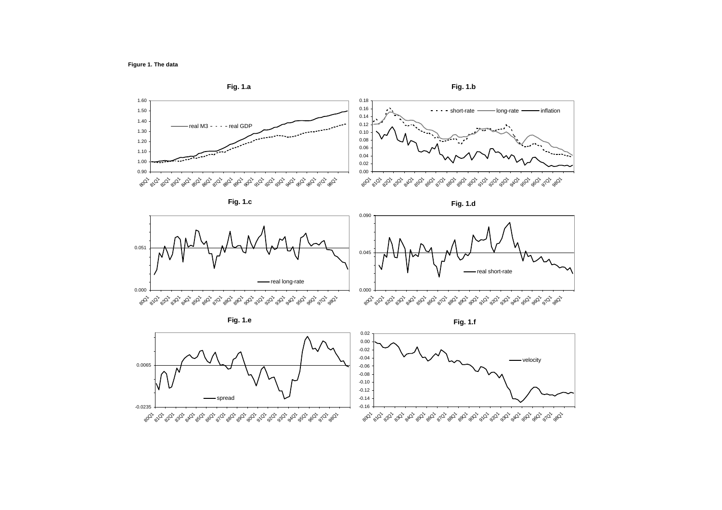

**Fig. 1.e**

**Fig. 1.f**

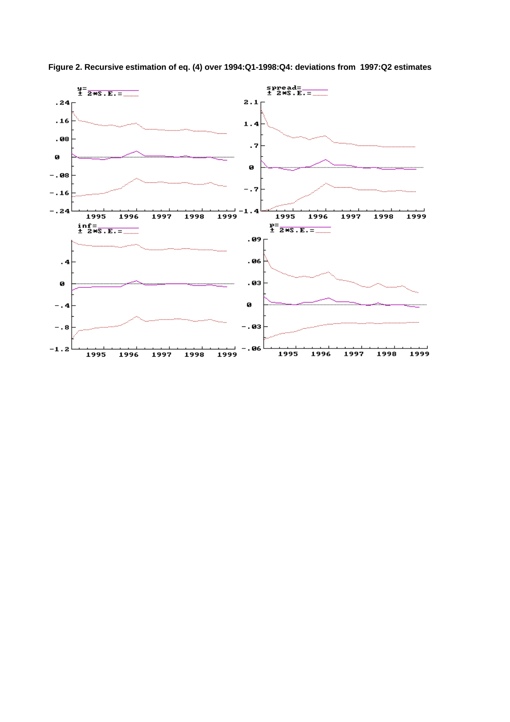

**Figure 2. Recursive estimation of eq. (4) over 1994:Q1-1998:Q4: deviations from 1997:Q2 estimates**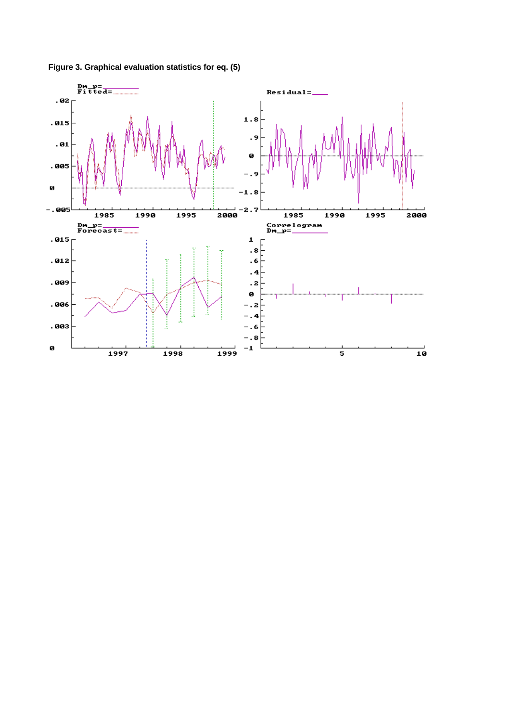

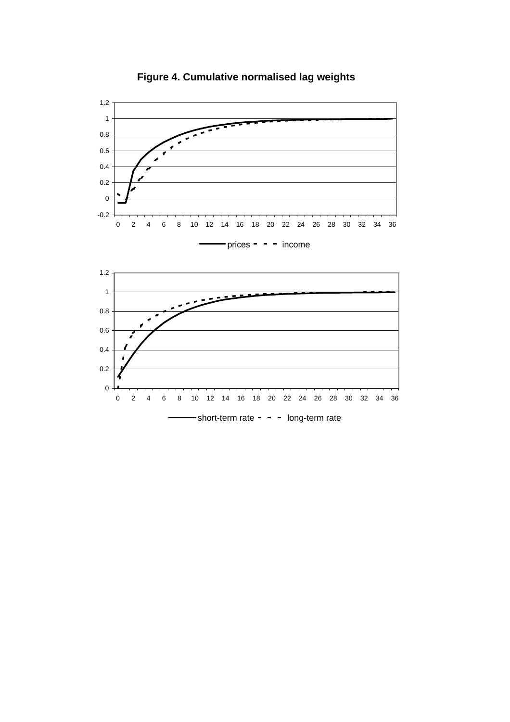

**Figure 4. Cumulative normalised lag weights**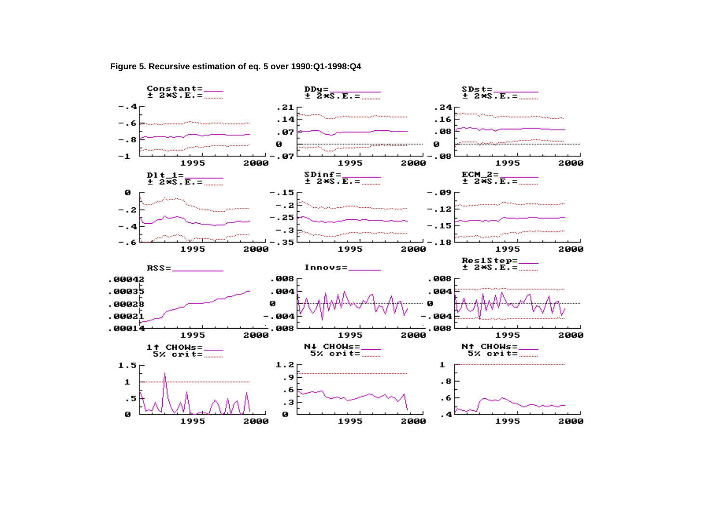

**Figure 5. Recursive estimation of eq. 5 over 1990:Q1-1998:Q4**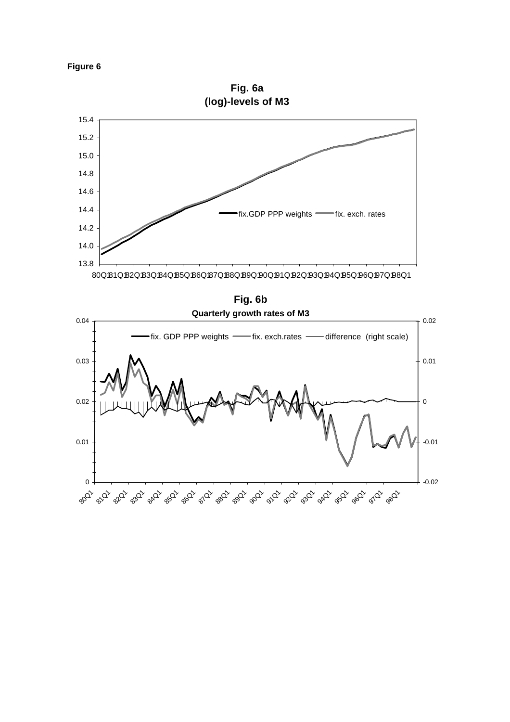

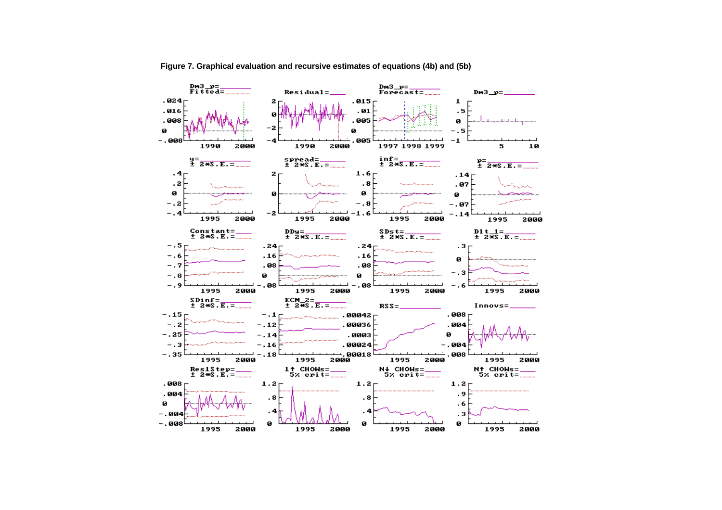

**Figure 7. Graphical evaluation and recursive estimates of equations (4b) and (5b)**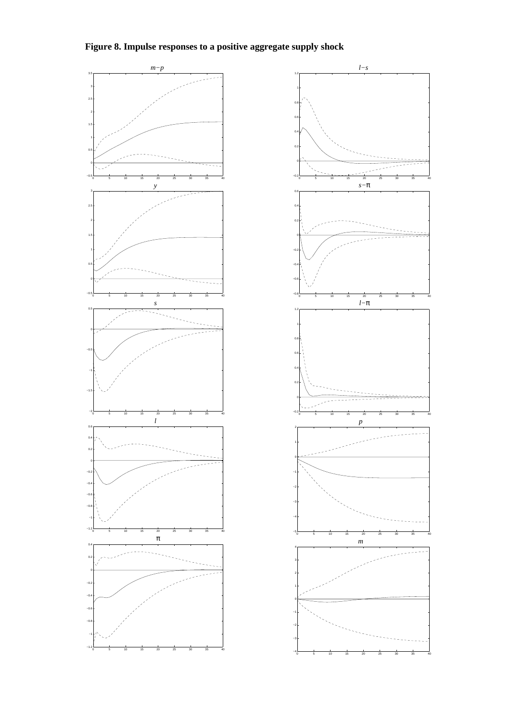



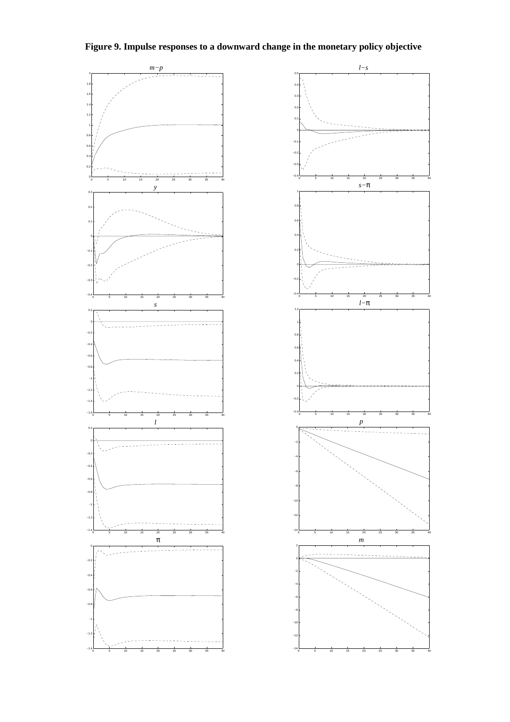



**Figure 9. Impulse responses to a downward change in the monetary policy objective**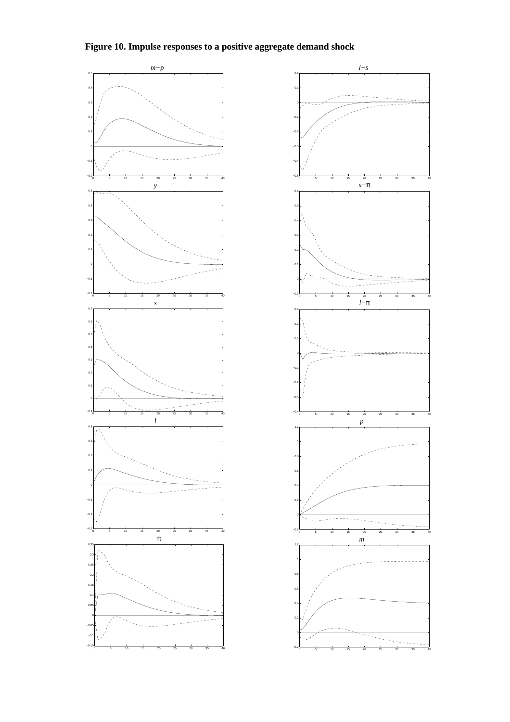



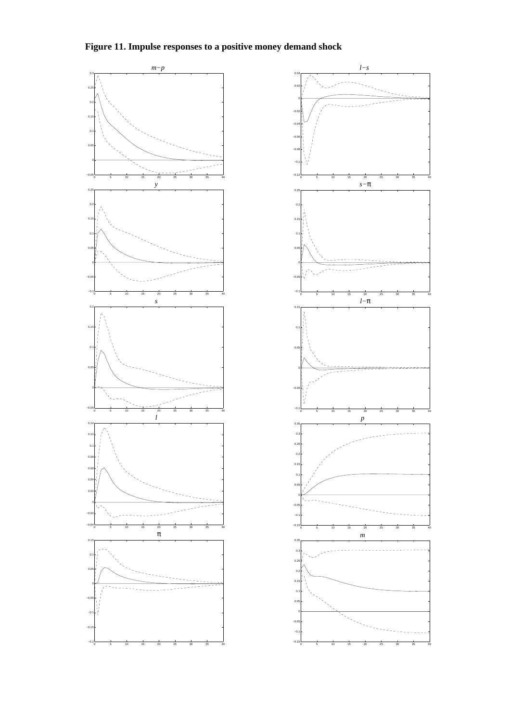



**Figure 11. Impulse responses to a positive money demand shock**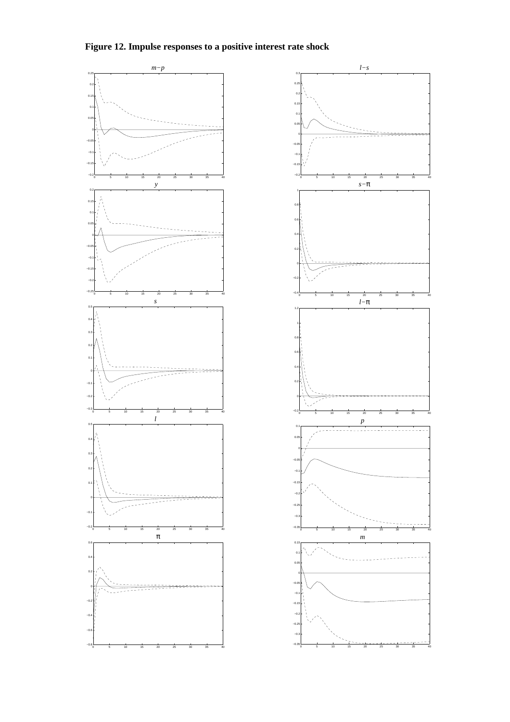